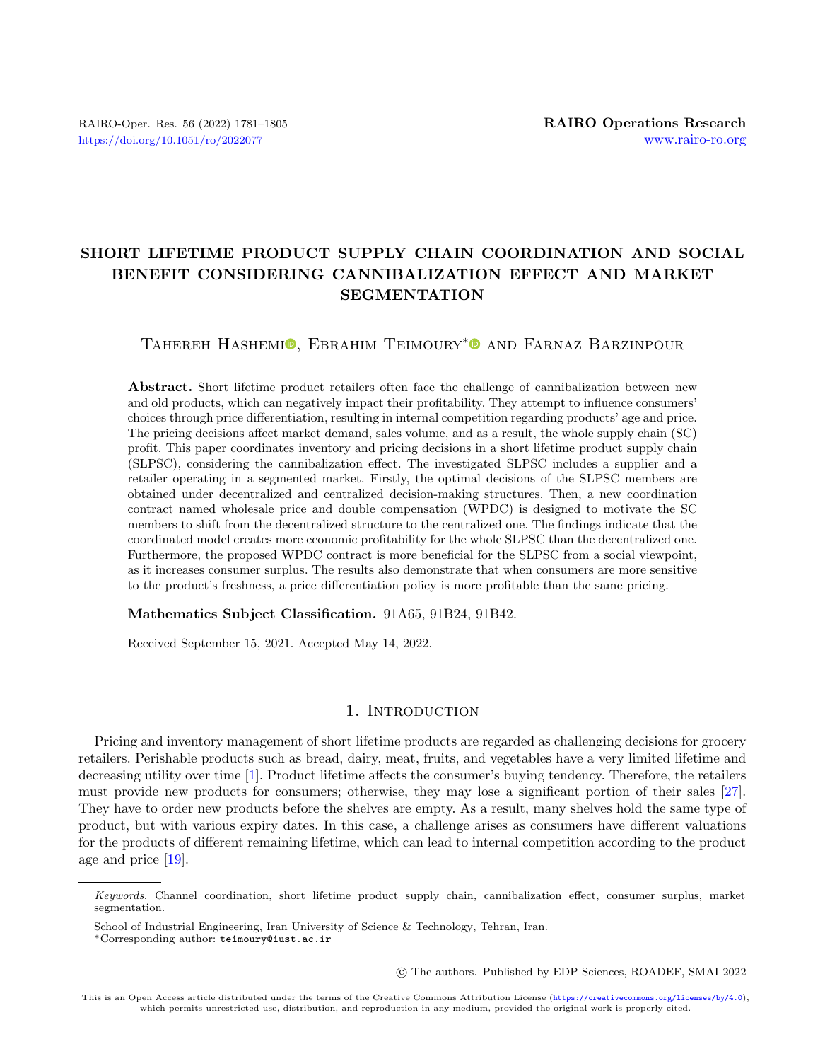# SHORT LIFETIME PRODUCT SUPPLY CHAIN COORDINATION AND SOCIAL BENEFIT CONSIDERING CANNIBALIZATION EFFECT AND MARKET **SEGMENTATION**

## TAHEREH HASHEMI<sup>O</sup>[,](https://orcid.org/0000-0002-4524-6843) EBRAHIM TEIMOURY<sup>[\\*](https://orcid.org/0000-0003-3083-1609)</sup><sup>O</sup> AND FARNAZ BARZINPOUR

Abstract. Short lifetime product retailers often face the challenge of cannibalization between new and old products, which can negatively impact their profitability. They attempt to influence consumers' choices through price differentiation, resulting in internal competition regarding products' age and price. The pricing decisions affect market demand, sales volume, and as a result, the whole supply chain (SC) profit. This paper coordinates inventory and pricing decisions in a short lifetime product supply chain (SLPSC), considering the cannibalization effect. The investigated SLPSC includes a supplier and a retailer operating in a segmented market. Firstly, the optimal decisions of the SLPSC members are obtained under decentralized and centralized decision-making structures. Then, a new coordination contract named wholesale price and double compensation (WPDC) is designed to motivate the SC members to shift from the decentralized structure to the centralized one. The findings indicate that the coordinated model creates more economic profitability for the whole SLPSC than the decentralized one. Furthermore, the proposed WPDC contract is more beneficial for the SLPSC from a social viewpoint, as it increases consumer surplus. The results also demonstrate that when consumers are more sensitive to the product's freshness, a price differentiation policy is more profitable than the same pricing.

Mathematics Subject Classification. 91A65, 91B24, 91B42.

Received September 15, 2021. Accepted May 14, 2022.

#### 1. INTRODUCTION

Pricing and inventory management of short lifetime products are regarded as challenging decisions for grocery retailers. Perishable products such as bread, dairy, meat, fruits, and vegetables have a very limited lifetime and decreasing utility over time [\[1\]](#page-22-0). Product lifetime affects the consumer's buying tendency. Therefore, the retailers must provide new products for consumers; otherwise, they may lose a significant portion of their sales [\[27\]](#page-23-0). They have to order new products before the shelves are empty. As a result, many shelves hold the same type of product, but with various expiry dates. In this case, a challenge arises as consumers have different valuations for the products of different remaining lifetime, which can lead to internal competition according to the product age and price [\[19\]](#page-23-1).

○c The authors. Published by EDP Sciences, ROADEF, SMAI 2022

Keywords. Channel coordination, short lifetime product supply chain, cannibalization effect, consumer surplus, market segmentation.

School of Industrial Engineering, Iran University of Science & Technology, Tehran, Iran.

<sup>\*</sup>Corresponding author: [teimoury@iust.ac.ir](mailto:teimoury@iust.ac.ir)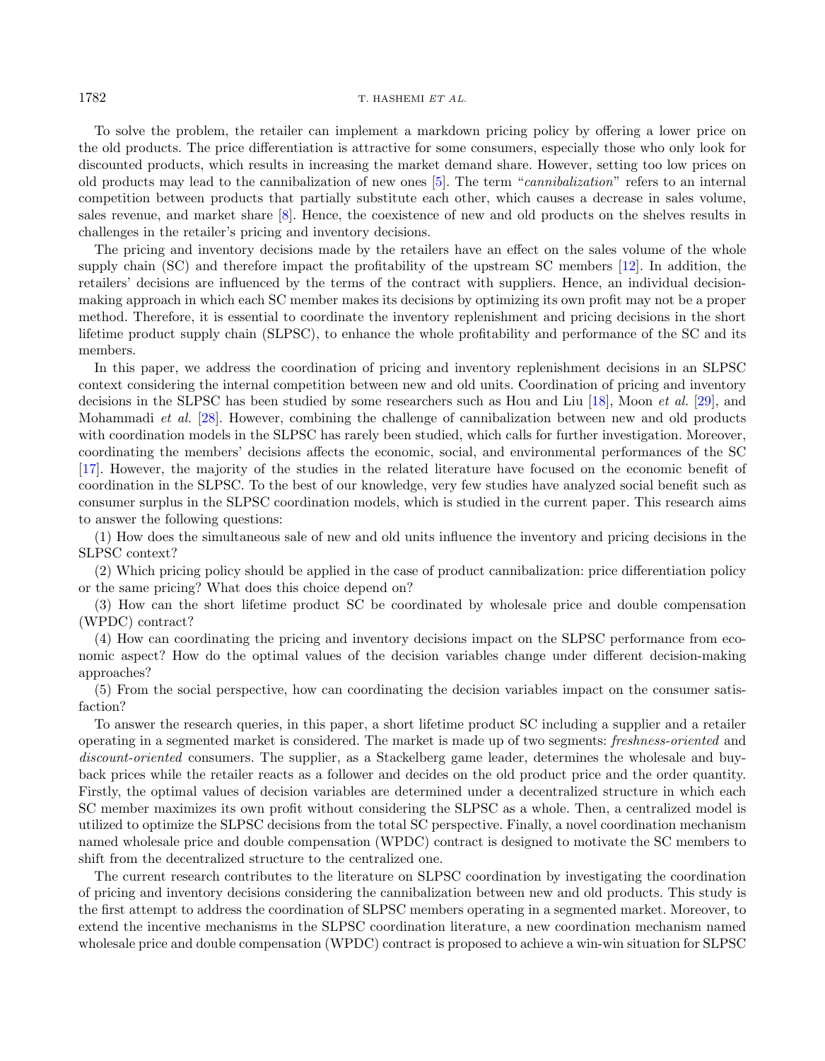To solve the problem, the retailer can implement a markdown pricing policy by offering a lower price on the old products. The price differentiation is attractive for some consumers, especially those who only look for discounted products, which results in increasing the market demand share. However, setting too low prices on old products may lead to the cannibalization of new ones [\[5\]](#page-22-1). The term "cannibalization" refers to an internal competition between products that partially substitute each other, which causes a decrease in sales volume, sales revenue, and market share [\[8\]](#page-23-2). Hence, the coexistence of new and old products on the shelves results in challenges in the retailer's pricing and inventory decisions.

The pricing and inventory decisions made by the retailers have an effect on the sales volume of the whole supply chain (SC) and therefore impact the profitability of the upstream SC members [\[12\]](#page-23-3). In addition, the retailers' decisions are influenced by the terms of the contract with suppliers. Hence, an individual decisionmaking approach in which each SC member makes its decisions by optimizing its own profit may not be a proper method. Therefore, it is essential to coordinate the inventory replenishment and pricing decisions in the short lifetime product supply chain (SLPSC), to enhance the whole profitability and performance of the SC and its members.

In this paper, we address the coordination of pricing and inventory replenishment decisions in an SLPSC context considering the internal competition between new and old units. Coordination of pricing and inventory decisions in the SLPSC has been studied by some researchers such as Hou and Liu [\[18\]](#page-23-4), Moon et al. [\[29\]](#page-23-5), and Mohammadi et al. [\[28\]](#page-23-6). However, combining the challenge of cannibalization between new and old products with coordination models in the SLPSC has rarely been studied, which calls for further investigation. Moreover, coordinating the members' decisions affects the economic, social, and environmental performances of the SC [\[17\]](#page-23-7). However, the majority of the studies in the related literature have focused on the economic benefit of coordination in the SLPSC. To the best of our knowledge, very few studies have analyzed social benefit such as consumer surplus in the SLPSC coordination models, which is studied in the current paper. This research aims to answer the following questions:

(1) How does the simultaneous sale of new and old units influence the inventory and pricing decisions in the SLPSC context?

(2) Which pricing policy should be applied in the case of product cannibalization: price differentiation policy or the same pricing? What does this choice depend on?

(3) How can the short lifetime product SC be coordinated by wholesale price and double compensation (WPDC) contract?

(4) How can coordinating the pricing and inventory decisions impact on the SLPSC performance from economic aspect? How do the optimal values of the decision variables change under different decision-making approaches?

(5) From the social perspective, how can coordinating the decision variables impact on the consumer satisfaction?

To answer the research queries, in this paper, a short lifetime product SC including a supplier and a retailer operating in a segmented market is considered. The market is made up of two segments: freshness-oriented and discount-oriented consumers. The supplier, as a Stackelberg game leader, determines the wholesale and buyback prices while the retailer reacts as a follower and decides on the old product price and the order quantity. Firstly, the optimal values of decision variables are determined under a decentralized structure in which each SC member maximizes its own profit without considering the SLPSC as a whole. Then, a centralized model is utilized to optimize the SLPSC decisions from the total SC perspective. Finally, a novel coordination mechanism named wholesale price and double compensation (WPDC) contract is designed to motivate the SC members to shift from the decentralized structure to the centralized one.

The current research contributes to the literature on SLPSC coordination by investigating the coordination of pricing and inventory decisions considering the cannibalization between new and old products. This study is the first attempt to address the coordination of SLPSC members operating in a segmented market. Moreover, to extend the incentive mechanisms in the SLPSC coordination literature, a new coordination mechanism named wholesale price and double compensation (WPDC) contract is proposed to achieve a win-win situation for SLPSC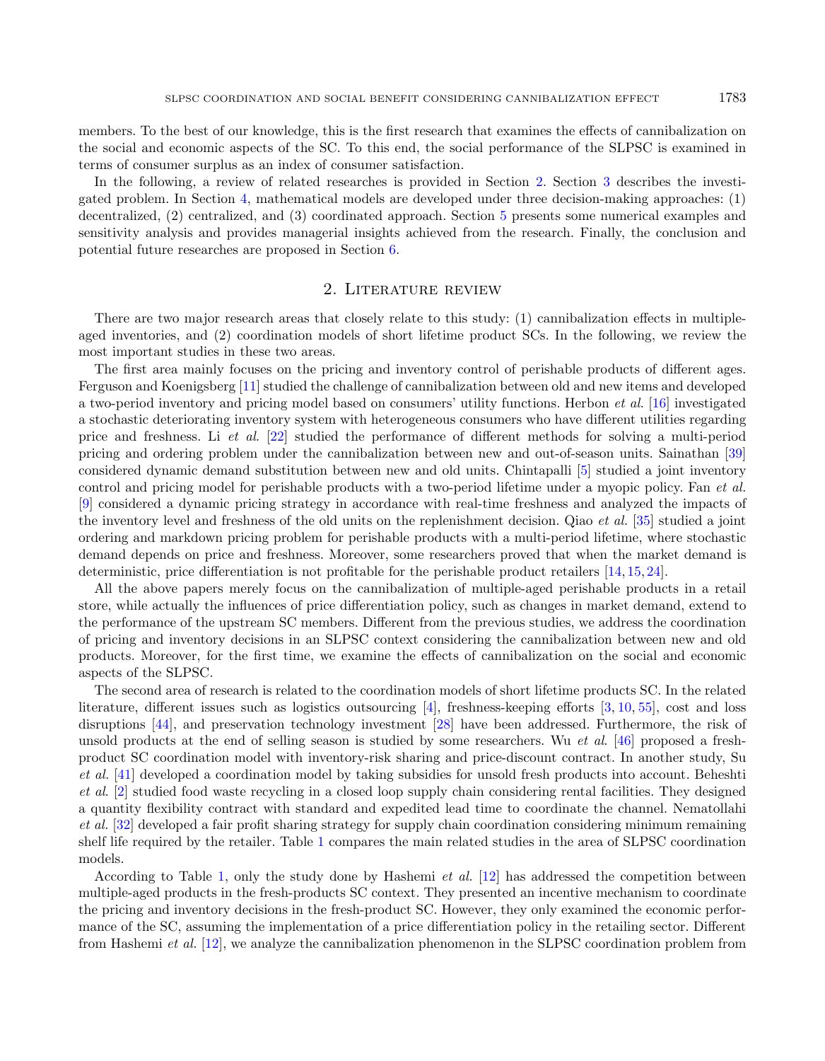members. To the best of our knowledge, this is the first research that examines the effects of cannibalization on the social and economic aspects of the SC. To this end, the social performance of the SLPSC is examined in terms of consumer surplus as an index of consumer satisfaction.

In the following, a review of related researches is provided in Section [2.](#page-2-0) Section [3](#page-4-0) describes the investigated problem. In Section [4,](#page-7-0) mathematical models are developed under three decision-making approaches: (1) decentralized, (2) centralized, and (3) coordinated approach. Section [5](#page-12-0) presents some numerical examples and sensitivity analysis and provides managerial insights achieved from the research. Finally, the conclusion and potential future researches are proposed in Section [6.](#page-19-0)

#### 2. Literature review

<span id="page-2-0"></span>There are two major research areas that closely relate to this study: (1) cannibalization effects in multipleaged inventories, and (2) coordination models of short lifetime product SCs. In the following, we review the most important studies in these two areas.

The first area mainly focuses on the pricing and inventory control of perishable products of different ages. Ferguson and Koenigsberg [\[11\]](#page-23-8) studied the challenge of cannibalization between old and new items and developed a two-period inventory and pricing model based on consumers' utility functions. Herbon et al. [\[16\]](#page-23-9) investigated a stochastic deteriorating inventory system with heterogeneous consumers who have different utilities regarding price and freshness. Li et al. [\[22\]](#page-23-10) studied the performance of different methods for solving a multi-period pricing and ordering problem under the cannibalization between new and out-of-season units. Sainathan [\[39\]](#page-24-0) considered dynamic demand substitution between new and old units. Chintapalli [\[5\]](#page-22-1) studied a joint inventory control and pricing model for perishable products with a two-period lifetime under a myopic policy. Fan et al. [\[9\]](#page-23-11) considered a dynamic pricing strategy in accordance with real-time freshness and analyzed the impacts of the inventory level and freshness of the old units on the replenishment decision. Qiao et al. [\[35\]](#page-23-12) studied a joint ordering and markdown pricing problem for perishable products with a multi-period lifetime, where stochastic demand depends on price and freshness. Moreover, some researchers proved that when the market demand is deterministic, price differentiation is not profitable for the perishable product retailers [\[14,](#page-23-13) [15,](#page-23-14) [24\]](#page-23-15).

All the above papers merely focus on the cannibalization of multiple-aged perishable products in a retail store, while actually the influences of price differentiation policy, such as changes in market demand, extend to the performance of the upstream SC members. Different from the previous studies, we address the coordination of pricing and inventory decisions in an SLPSC context considering the cannibalization between new and old products. Moreover, for the first time, we examine the effects of cannibalization on the social and economic aspects of the SLPSC.

The second area of research is related to the coordination models of short lifetime products SC. In the related literature, different issues such as logistics outsourcing [\[4\]](#page-22-2), freshness-keeping efforts [\[3,](#page-22-3) [10,](#page-23-16) [55\]](#page-24-1), cost and loss disruptions [\[44\]](#page-24-2), and preservation technology investment [\[28\]](#page-23-6) have been addressed. Furthermore, the risk of unsold products at the end of selling season is studied by some researchers. Wu et al. [\[46\]](#page-24-3) proposed a freshproduct SC coordination model with inventory-risk sharing and price-discount contract. In another study, Su et al. [\[41\]](#page-24-4) developed a coordination model by taking subsidies for unsold fresh products into account. Beheshti et al. [\[2\]](#page-22-4) studied food waste recycling in a closed loop supply chain considering rental facilities. They designed a quantity flexibility contract with standard and expedited lead time to coordinate the channel. Nematollahi et al. [\[32\]](#page-23-17) developed a fair profit sharing strategy for supply chain coordination considering minimum remaining shelf life required by the retailer. Table [1](#page-3-0) compares the main related studies in the area of SLPSC coordination models.

According to Table [1,](#page-3-0) only the study done by Hashemi et al. [\[12\]](#page-23-3) has addressed the competition between multiple-aged products in the fresh-products SC context. They presented an incentive mechanism to coordinate the pricing and inventory decisions in the fresh-product SC. However, they only examined the economic performance of the SC, assuming the implementation of a price differentiation policy in the retailing sector. Different from Hashemi et al. [\[12\]](#page-23-3), we analyze the cannibalization phenomenon in the SLPSC coordination problem from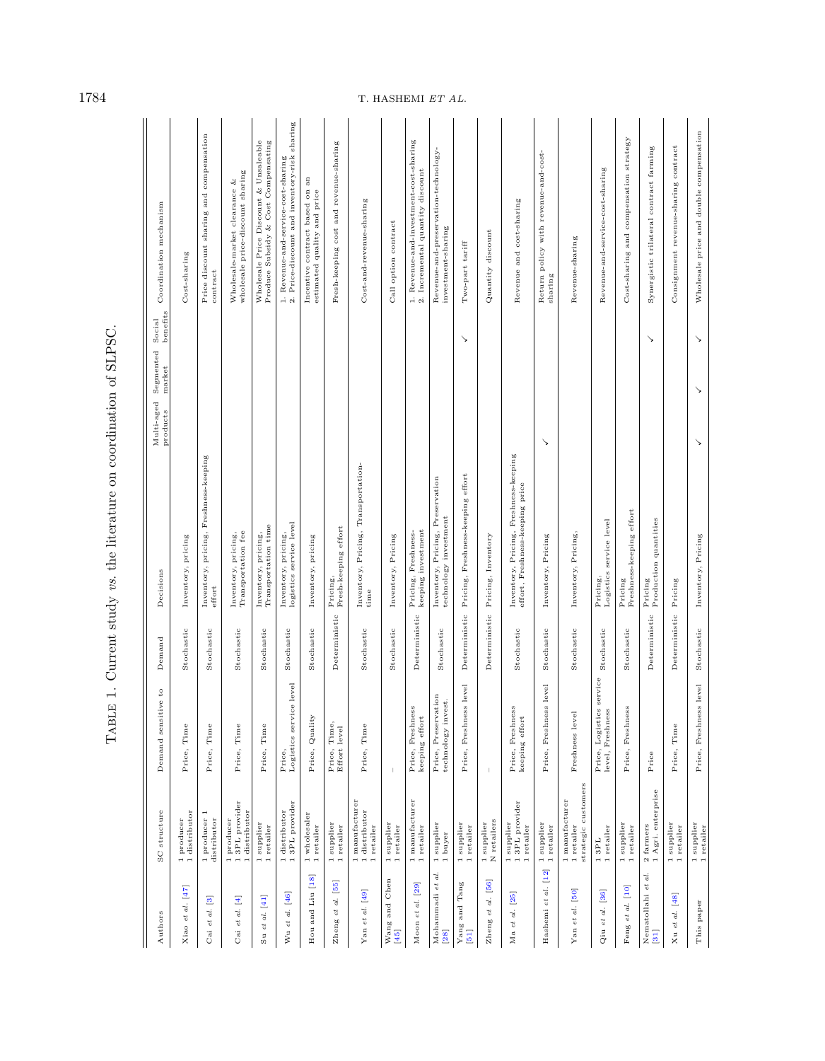| Authors                                                         | SC structure                                        | sensitive to<br>Demand                    | Demand        | Multi-aged<br>products<br>Decisions                                      | Social<br>benefits<br>Segmented<br>mark | Coordination mechanism                                                           |
|-----------------------------------------------------------------|-----------------------------------------------------|-------------------------------------------|---------------|--------------------------------------------------------------------------|-----------------------------------------|----------------------------------------------------------------------------------|
| Xiao et al. [47]                                                | 1 distributor<br>1 producer                         | Price, Time                               | Stochastic    | Inventory, pricing                                                       |                                         | Cost-sharing                                                                     |
| $\overline{\mathbf{e}}$<br>$\overline{d}$ .<br>$\it{et}$<br>Cai | 1 producer 1<br>distributor                         | Price, Time                               | Stochastic    | Inventory, pricing, Freshness-keeping<br>effort                          |                                         | Price discount sharing and compensation<br>contract                              |
| Cai et al. [4]                                                  | 13PL provider<br>1 distributor<br>1 producer        | Price, Time                               | Stochastic    | Inventory, pricing,<br>Transportation fee                                |                                         | wholesale price-discount sharing<br>Wholesale-market clearance &                 |
| Su et al. $[41]$                                                | 1 supplier<br>1 retailer                            | Price, Time                               | Stochastic    | Transportation time<br>Inventory, pricing,                               |                                         | Produce Subsidy & Cost Compensating<br>Wholesale Price Discount & Unsaleable     |
| $[46]$<br>al.<br>$_{et}$<br>Wu                                  | 13PL provider<br>1 distributor                      | Price,<br>Logistics service level         | Stochastic    | Inventory, pricing,<br>logistics service level                           |                                         | 1. Revenue-and-service-cost-sharing 2. Price-discount and inventory-risk sharing |
| Hou and Liu [18]                                                | 1 wholesaler<br>1 retailer                          | Price, Quality                            | Stochastic    | Inventory, pricing                                                       |                                         | Incentive contract based on an<br>estimated quality and price                    |
| [55]<br>Zheng et al.                                            | 1 supplier<br>1 retailer                            | Price, Time,<br>Effort level              | Deterministic | Pricing,<br>Fresh-keeping effort                                         |                                         | Fresh-keeping cost and revenue-sharing                                           |
| Yan et al. [49]                                                 | 1 manufacturer<br>1 distributor<br>1 retailer       | Price, Time                               | Stochastic    | Inventory, Pricing, Transportation-<br>time                              |                                         | Cost-and-revenue-sharing                                                         |
| Wang and Chen<br>[45]                                           | 1 supplier<br>1 retailer                            | $\overline{1}$                            | Stochastic    | Inventory, Pricing                                                       |                                         | Call option contract                                                             |
| Moon et al. [29]                                                | 1 manufacturer<br>1 retailer                        | Price, Freshness<br>keeping effort        | Deterministic | Pricing, Freshness-<br>keeping investment                                |                                         | 1. Revenue-and-investment-cost-sharing<br>2. Incremental quantity discount       |
| d.<br>Mohammadi et<br>[28]                                      | 1 supplier<br>1 buyer                               | Price, Preservation<br>technology invest. | Stochastic    | Inventory, Pricing, Preservation<br>technology investment                |                                         | Revenue-and-preservation-technology-<br>investment-sharing                       |
| Yang and Tang<br>[51]                                           | 1 supplier<br>1 retailer                            | reshness level<br>É<br>Price,             | Deterministic | Pricing, Freshness-keeping effort                                        | ↘                                       | Two-part tariff                                                                  |
| $^{[56]}$<br>Zheng et al.                                       | N retailers<br>1 supplier                           | $\mathbb{L}$                              | Deterministic | Pricing, Inventory                                                       |                                         | Quantity discount                                                                |
| Ma et al. [25]                                                  | 1 supplier<br>1 3PL provider<br>1 retailer          | Price, Freshness<br>keeping effort        | Stochastic    | Inventory, Pricing, Freshness-keeping<br>effort, Freshness-keeping price |                                         | Revenue and cost-sharing                                                         |
| Hashemi et al. [12]                                             | 1 supplier<br>1 retailer                            | Price, Freshness level                    | Stochastic    | ↘<br>Inventory, Pricing                                                  |                                         | Return policy with revenue-and-cost-<br>sharing                                  |
| Yan et al. [50]                                                 | strategic customers<br>1 manufacturer<br>1 retailer | Freshness level                           | Stochastic    | Inventory, Pricing,                                                      |                                         | Revenue-sharing                                                                  |

 $\begin{array}{c} \texttt{1 3PL} \\ \texttt{1 1} \\ \end{array}$ 

Qiu et al. [\[36\]](#page-23-19) 1 3PL<br>Qiu et al. [36] 1 retailer level, Freshness Stochastic Logistics service level<br>Logistics service level, Freshness

Price, Logistics service Stochastic<br>level, Freshness

Feng *et al.* [\[10\]](#page-23-16) 1 supplier Price, Freshness Stochastic Pricing Cffort Freshness-keeping effort Cost-sharing and compensation strategy Nematollahi et al. 2 farmers Price Price Price Deterministic Pricing anantities V VAS Synergistic trilateral contract farming [\[31\]](#page-23-20) 1 Agri. enterprise Production quantities Production quantities Xu et al. [\[48\]](#page-24-11) 1 supplier Price, Time Deterministic Pricing Consignment revenue-sharing contract 1 retailer This paper and amplier Price, Freshness level Stochastic Inventory, Pricing  $\checkmark$ 

Pricing<br>Freshness-keeping effort Pricing,<br>Logistics service level

Stochastic

Price, Freshness

1 supplier<br>1 retailer

Feng et al. [10] Qiu $et$   $al.$   $\left[ 36\right]$ 

Pricing<br>Production quantities

Deterministic

 $_{\rm Price}$ 

 $\begin{array}{ll} \text{2 farmers} \\ \text{1 Agri. enterprise} \end{array}$ 

 $\begin{array}{ll} \text{Nematollahi et al.}\\ \text{[31]} \end{array}$ 

Cost-sharing and compensation strategy

Revenue-and-service-cost-sharing

Wholesale price and double compensation

 $\ddot{\phantom{1}}$ 

 $\ddot{\phantom{1}}$ 

 $\ddot{\phantom{1}}$ 

Inventory, Pricing

Price, Freshness level Stochastic

Deterministic Pricing

Price, Time

 $\begin{array}{c} \text{1 supplier}\\ \text{1 retailer}\\ \end{array}$ 

Xu et al. [48] This paper

1 supplier<br>1 retailer

Consignment revenue-sharing contract Synergistic trilateral contract farming

 $\ddot{\phantom{1}}$ 

<span id="page-3-0"></span>TABLE 1. Current study vs. the literature on coordination of SLPSC. Table 1. Current study vs. the literature on coordination of SLPSC.

 $1784$  T. HASHEMI ET AL.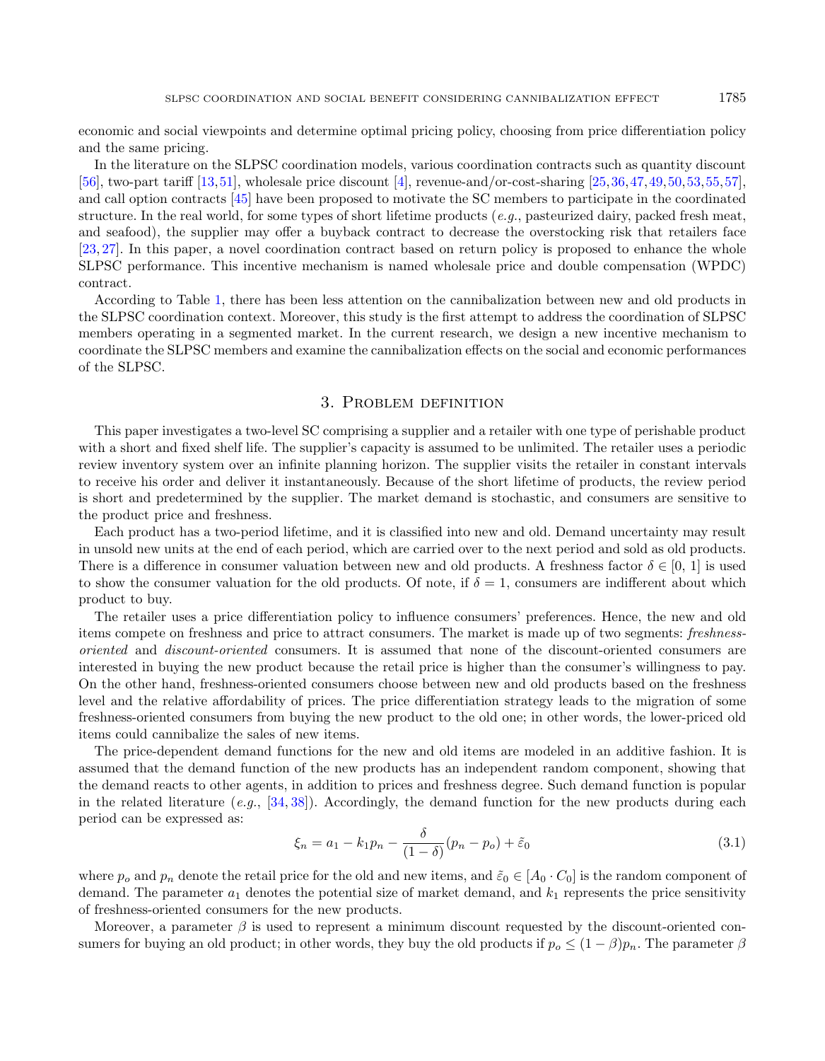economic and social viewpoints and determine optimal pricing policy, choosing from price differentiation policy and the same pricing.

In the literature on the SLPSC coordination models, various coordination contracts such as quantity discount [\[56\]](#page-24-9), two-part tariff  $[13,51]$  $[13,51]$ , wholesale price discount  $[4]$ , revenue-and/or-cost-sharing  $[25,36,47,49,50,53,55,57]$  $[25,36,47,49,50,53,55,57]$  $[25,36,47,49,50,53,55,57]$  $[25,36,47,49,50,53,55,57]$  $[25,36,47,49,50,53,55,57]$  $[25,36,47,49,50,53,55,57]$  $[25,36,47,49,50,53,55,57]$  $[25,36,47,49,50,53,55,57]$ , and call option contracts [\[45\]](#page-24-7) have been proposed to motivate the SC members to participate in the coordinated structure. In the real world, for some types of short lifetime products  $(e,q)$ , pasteurized dairy, packed fresh meat, and seafood), the supplier may offer a buyback contract to decrease the overstocking risk that retailers face [\[23,](#page-23-22) [27\]](#page-23-0). In this paper, a novel coordination contract based on return policy is proposed to enhance the whole SLPSC performance. This incentive mechanism is named wholesale price and double compensation (WPDC) contract.

According to Table [1,](#page-3-0) there has been less attention on the cannibalization between new and old products in the SLPSC coordination context. Moreover, this study is the first attempt to address the coordination of SLPSC members operating in a segmented market. In the current research, we design a new incentive mechanism to coordinate the SLPSC members and examine the cannibalization effects on the social and economic performances of the SLPSC.

#### 3. Problem definition

<span id="page-4-0"></span>This paper investigates a two-level SC comprising a supplier and a retailer with one type of perishable product with a short and fixed shelf life. The supplier's capacity is assumed to be unlimited. The retailer uses a periodic review inventory system over an infinite planning horizon. The supplier visits the retailer in constant intervals to receive his order and deliver it instantaneously. Because of the short lifetime of products, the review period is short and predetermined by the supplier. The market demand is stochastic, and consumers are sensitive to the product price and freshness.

Each product has a two-period lifetime, and it is classified into new and old. Demand uncertainty may result in unsold new units at the end of each period, which are carried over to the next period and sold as old products. There is a difference in consumer valuation between new and old products. A freshness factor  $\delta \in [0, 1]$  is used to show the consumer valuation for the old products. Of note, if  $\delta = 1$ , consumers are indifferent about which product to buy.

<span id="page-4-1"></span>The retailer uses a price differentiation policy to influence consumers' preferences. Hence, the new and old items compete on freshness and price to attract consumers. The market is made up of two segments: freshnessoriented and discount-oriented consumers. It is assumed that none of the discount-oriented consumers are interested in buying the new product because the retail price is higher than the consumer's willingness to pay. On the other hand, freshness-oriented consumers choose between new and old products based on the freshness level and the relative affordability of prices. The price differentiation strategy leads to the migration of some freshness-oriented consumers from buying the new product to the old one; in other words, the lower-priced old items could cannibalize the sales of new items.

The price-dependent demand functions for the new and old items are modeled in an additive fashion. It is assumed that the demand function of the new products has an independent random component, showing that the demand reacts to other agents, in addition to prices and freshness degree. Such demand function is popular in the related literature (e.g.,  $[34, 38]$  $[34, 38]$  $[34, 38]$ ). Accordingly, the demand function for the new products during each period can be expressed as:

$$
\xi_n = a_1 - k_1 p_n - \frac{\delta}{(1 - \delta)} (p_n - p_o) + \tilde{\varepsilon}_0 \tag{3.1}
$$

where  $p_o$  and  $p_n$  denote the retail price for the old and new items, and  $\tilde{\varepsilon}_0 \in [A_0 \cdot C_0]$  is the random component of demand. The parameter  $a_1$  denotes the potential size of market demand, and  $k_1$  represents the price sensitivity of freshness-oriented consumers for the new products.

Moreover, a parameter  $\beta$  is used to represent a minimum discount requested by the discount-oriented consumers for buying an old product; in other words, they buy the old products if  $p_o \leq (1 - \beta)p_n$ . The parameter  $\beta$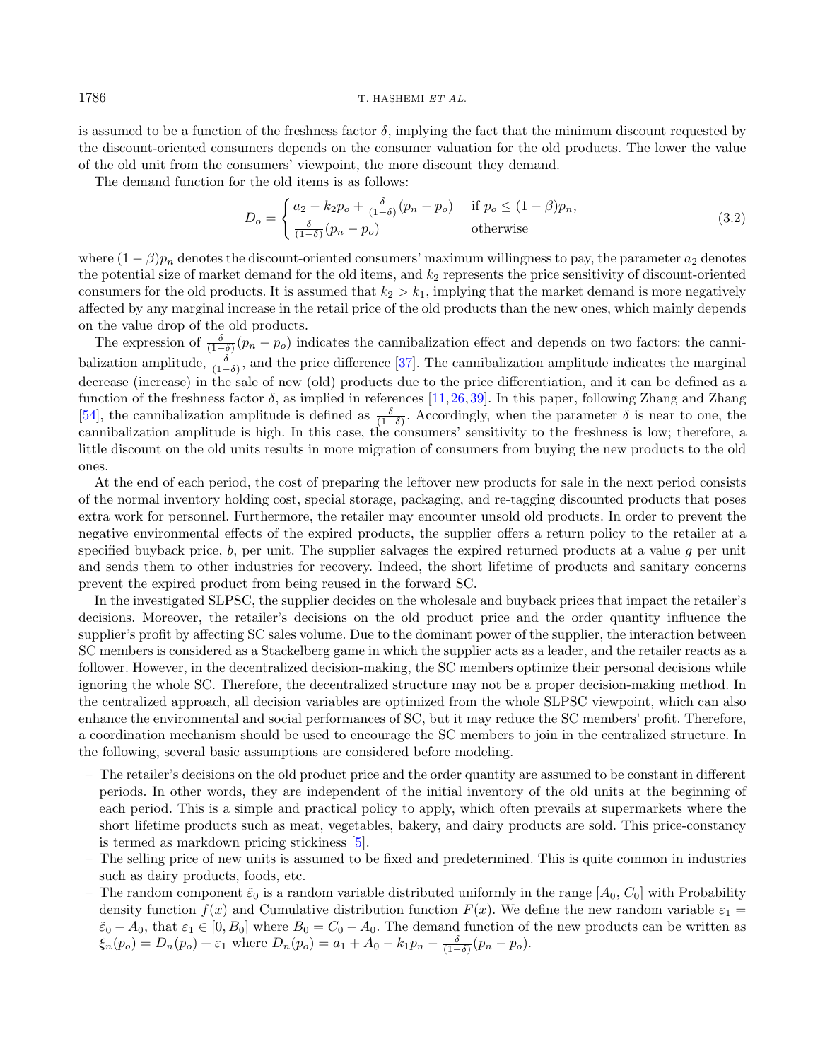is assumed to be a function of the freshness factor  $\delta$ , implying the fact that the minimum discount requested by the discount-oriented consumers depends on the consumer valuation for the old products. The lower the value of the old unit from the consumers' viewpoint, the more discount they demand.

The demand function for the old items is as follows:

$$
D_o = \begin{cases} a_2 - k_2 p_o + \frac{\delta}{(1-\delta)}(p_n - p_o) & \text{if } p_o \le (1-\beta)p_n, \\ \frac{\delta}{(1-\delta)}(p_n - p_o) & \text{otherwise} \end{cases}
$$
(3.2)

where  $(1 - \beta)p_n$  denotes the discount-oriented consumers' maximum willingness to pay, the parameter  $a_2$  denotes the potential size of market demand for the old items, and  $k_2$  represents the price sensitivity of discount-oriented consumers for the old products. It is assumed that  $k_2 > k_1$ , implying that the market demand is more negatively affected by any marginal increase in the retail price of the old products than the new ones, which mainly depends on the value drop of the old products.

The expression of  $\frac{\delta}{(1-\delta)}(p_n - p_o)$  indicates the cannibalization effect and depends on two factors: the cannibalization amplitude,  $\frac{\delta}{(1-\delta)}$ , and the price difference [\[37\]](#page-23-25). The cannibalization amplitude indicates the marginal decrease (increase) in the sale of new (old) products due to the price differentiation, and it can be defined as a function of the freshness factor  $\delta$ , as implied in references [\[11,](#page-23-8) [26,](#page-23-26) [39\]](#page-24-0). In this paper, following Zhang and Zhang [\[54\]](#page-24-14), the cannibalization amplitude is defined as  $\frac{\delta}{(1-\delta)}$ . Accordingly, when the parameter  $\delta$  is near to one, the cannibalization amplitude is high. In this case, the consumers' sensitivity to the freshness is low; therefore, a little discount on the old units results in more migration of consumers from buying the new products to the old ones.

At the end of each period, the cost of preparing the leftover new products for sale in the next period consists of the normal inventory holding cost, special storage, packaging, and re-tagging discounted products that poses extra work for personnel. Furthermore, the retailer may encounter unsold old products. In order to prevent the negative environmental effects of the expired products, the supplier offers a return policy to the retailer at a specified buyback price,  $b$ , per unit. The supplier salvages the expired returned products at a value  $g$  per unit and sends them to other industries for recovery. Indeed, the short lifetime of products and sanitary concerns prevent the expired product from being reused in the forward SC.

In the investigated SLPSC, the supplier decides on the wholesale and buyback prices that impact the retailer's decisions. Moreover, the retailer's decisions on the old product price and the order quantity influence the supplier's profit by affecting SC sales volume. Due to the dominant power of the supplier, the interaction between SC members is considered as a Stackelberg game in which the supplier acts as a leader, and the retailer reacts as a follower. However, in the decentralized decision-making, the SC members optimize their personal decisions while ignoring the whole SC. Therefore, the decentralized structure may not be a proper decision-making method. In the centralized approach, all decision variables are optimized from the whole SLPSC viewpoint, which can also enhance the environmental and social performances of SC, but it may reduce the SC members' profit. Therefore, a coordination mechanism should be used to encourage the SC members to join in the centralized structure. In the following, several basic assumptions are considered before modeling.

- The retailer's decisions on the old product price and the order quantity are assumed to be constant in different periods. In other words, they are independent of the initial inventory of the old units at the beginning of each period. This is a simple and practical policy to apply, which often prevails at supermarkets where the short lifetime products such as meat, vegetables, bakery, and dairy products are sold. This price-constancy is termed as markdown pricing stickiness [\[5\]](#page-22-1).
- The selling price of new units is assumed to be fixed and predetermined. This is quite common in industries such as dairy products, foods, etc.
- The random component  $\tilde{\varepsilon}_0$  is a random variable distributed uniformly in the range  $[A_0, C_0]$  with Probability density function  $f(x)$  and Cumulative distribution function  $F(x)$ . We define the new random variable  $\varepsilon_1 =$  $\tilde{\varepsilon}_0 - A_0$ , that  $\varepsilon_1 \in [0, B_0]$  where  $B_0 = C_0 - A_0$ . The demand function of the new products can be written as  $\xi_n(p_o) = D_n(p_o) + \varepsilon_1$  where  $D_n(p_o) = a_1 + A_0 - k_1 p_n - \frac{\delta}{(1-\delta)}(p_n - p_o)$ .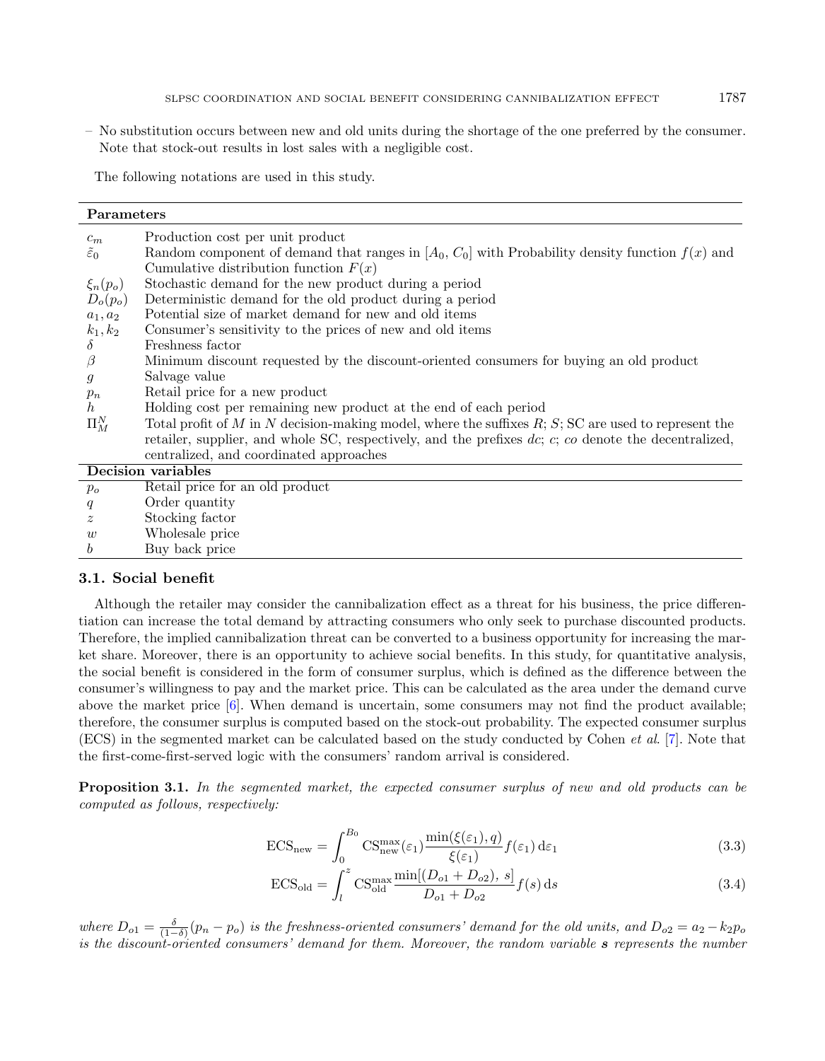– No substitution occurs between new and old units during the shortage of the one preferred by the consumer. Note that stock-out results in lost sales with a negligible cost.

The following notations are used in this study.

| Parameters              |                                                                                                              |
|-------------------------|--------------------------------------------------------------------------------------------------------------|
| $c_m$                   | Production cost per unit product                                                                             |
| $\tilde{\varepsilon}_0$ | Random component of demand that ranges in $[A_0, C_0]$ with Probability density function $f(x)$ and          |
|                         | Cumulative distribution function $F(x)$                                                                      |
| $\xi_n(p_o)$            | Stochastic demand for the new product during a period                                                        |
| $D_o(p_o)$              | Deterministic demand for the old product during a period                                                     |
| $a_1, a_2$              | Potential size of market demand for new and old items                                                        |
| $k_1, k_2$              | Consumer's sensitivity to the prices of new and old items                                                    |
| $\delta$                | Freshness factor                                                                                             |
| $\beta$                 | Minimum discount requested by the discount-oriented consumers for buying an old product                      |
| $\mathfrak{g}$          | Salvage value                                                                                                |
| $p_n$                   | Retail price for a new product                                                                               |
| h                       | Holding cost per remaining new product at the end of each period                                             |
| $\Pi_{M}^{N}$           | Total profit of M in N decision-making model, where the suffixes $R; S; SC$ are used to represent the        |
|                         | retailer, supplier, and whole SC, respectively, and the prefixes $dc$ ; $c$ ; $co$ denote the decentralized, |
|                         | centralized, and coordinated approaches                                                                      |
|                         | Decision variables                                                                                           |
| $p_o$                   | Retail price for an old product                                                                              |
| q                       | Order quantity                                                                                               |
| $\tilde{z}$             | Stocking factor                                                                                              |
| w                       | Wholesale price                                                                                              |
| $\boldsymbol{b}$        | Buy back price                                                                                               |

#### 3.1. Social benefit

Although the retailer may consider the cannibalization effect as a threat for his business, the price differentiation can increase the total demand by attracting consumers who only seek to purchase discounted products. Therefore, the implied cannibalization threat can be converted to a business opportunity for increasing the market share. Moreover, there is an opportunity to achieve social benefits. In this study, for quantitative analysis, the social benefit is considered in the form of consumer surplus, which is defined as the difference between the consumer's willingness to pay and the market price. This can be calculated as the area under the demand curve above the market price [\[6\]](#page-23-27). When demand is uncertain, some consumers may not find the product available; therefore, the consumer surplus is computed based on the stock-out probability. The expected consumer surplus (ECS) in the segmented market can be calculated based on the study conducted by Cohen et al. [\[7\]](#page-23-28). Note that the first-come-first-served logic with the consumers' random arrival is considered.

Proposition 3.1. In the segmented market, the expected consumer surplus of new and old products can be computed as follows, respectively:

<span id="page-6-0"></span>
$$
ECS_{\text{new}} = \int_0^{B_0} \text{CS}_{\text{new}}^{\text{max}}(\varepsilon_1) \frac{\min(\xi(\varepsilon_1), q)}{\xi(\varepsilon_1)} f(\varepsilon_1) d\varepsilon_1 \tag{3.3}
$$

$$
ECS_{\text{old}} = \int_{l}^{z} \text{CS}_{\text{old}}^{\text{max}} \frac{\min[(D_{o1} + D_{o2}), s]}{D_{o1} + D_{o2}} f(s) \,ds \tag{3.4}
$$

where  $D_{o1} = \frac{\delta}{(1-\delta)}(p_n - p_o)$  is the freshness-oriented consumers' demand for the old units, and  $D_{o2} = a_2 - k_2p_o$ is the discount-oriented consumers' demand for them. Moreover, the random variable s represents the number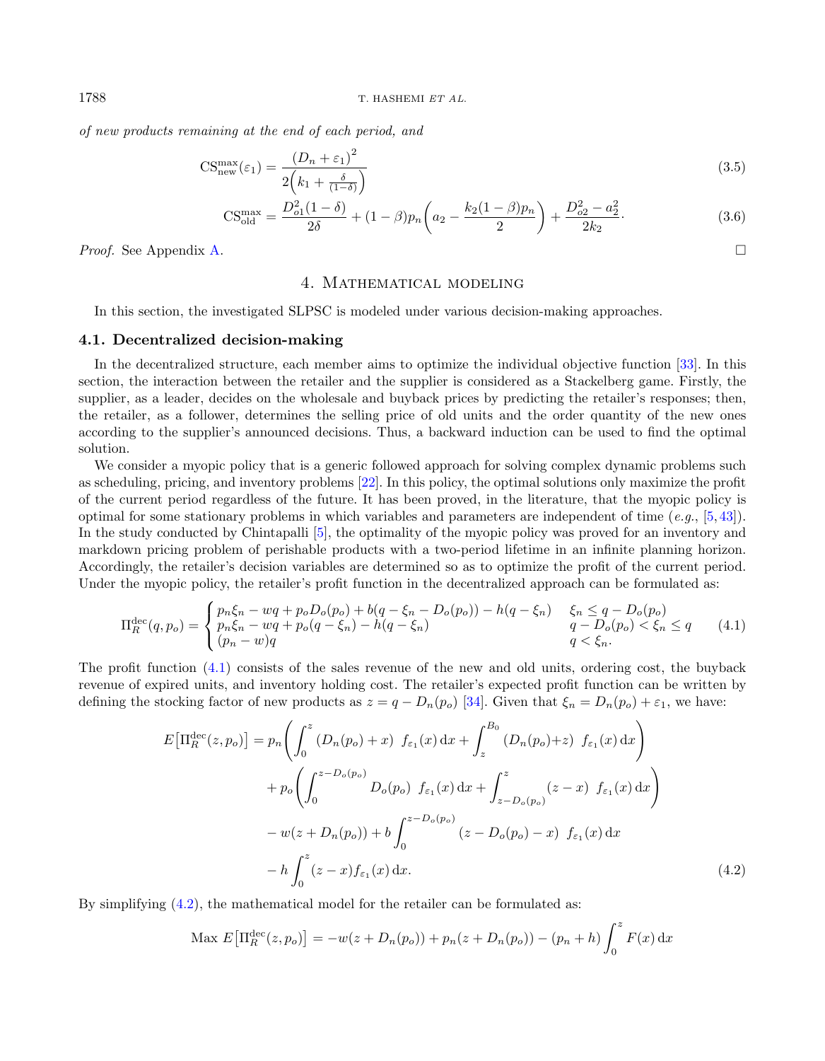of new products remaining at the end of each period, and

$$
CS_{\text{new}}^{\text{max}}(\varepsilon_1) = \frac{(D_n + \varepsilon_1)^2}{2\left(k_1 + \frac{\delta}{(1-\delta)}\right)}
$$
(3.5)

$$
CS_{\text{old}}^{\text{max}} = \frac{D_{o1}^2 (1 - \delta)}{2\delta} + (1 - \beta) p_n \left( a_2 - \frac{k_2 (1 - \beta) p_n}{2} \right) + \frac{D_{o2}^2 - a_2^2}{2k_2}.
$$
 (3.6)

<span id="page-7-0"></span>Proof. See Appendix [A.](#page-20-0)

#### 4. Mathematical modeling

In this section, the investigated SLPSC is modeled under various decision-making approaches.

#### 4.1. Decentralized decision-making

In the decentralized structure, each member aims to optimize the individual objective function [\[33\]](#page-23-29). In this section, the interaction between the retailer and the supplier is considered as a Stackelberg game. Firstly, the supplier, as a leader, decides on the wholesale and buyback prices by predicting the retailer's responses; then, the retailer, as a follower, determines the selling price of old units and the order quantity of the new ones according to the supplier's announced decisions. Thus, a backward induction can be used to find the optimal solution.

We consider a myopic policy that is a generic followed approach for solving complex dynamic problems such as scheduling, pricing, and inventory problems [\[22\]](#page-23-10). In this policy, the optimal solutions only maximize the profit of the current period regardless of the future. It has been proved, in the literature, that the myopic policy is optimal for some stationary problems in which variables and parameters are independent of time (e.g.,  $[5,43]$  $[5,43]$ ). In the study conducted by Chintapalli [\[5\]](#page-22-1), the optimality of the myopic policy was proved for an inventory and markdown pricing problem of perishable products with a two-period lifetime in an infinite planning horizon. Accordingly, the retailer's decision variables are determined so as to optimize the profit of the current period. Under the myopic policy, the retailer's profit function in the decentralized approach can be formulated as:

<span id="page-7-1"></span>
$$
\Pi_R^{\text{dec}}(q, p_o) = \begin{cases} p_n \xi_n - wq + p_o D_o(p_o) + b(q - \xi_n - D_o(p_o)) - h(q - \xi_n) & \xi_n \le q - D_o(p_o) \\ p_n \xi_n - wq + p_o(q - \xi_n) - h(q - \xi_n) & q - D_o(p_o) < \xi_n \le q \\ (p_n - w)q & q < \xi_n. \end{cases} (4.1)
$$

The profit function [\(4.1\)](#page-7-1) consists of the sales revenue of the new and old units, ordering cost, the buyback revenue of expired units, and inventory holding cost. The retailer's expected profit function can be written by defining the stocking factor of new products as  $z = q - D_n(p_o)$  [\[34\]](#page-23-23). Given that  $\xi_n = D_n(p_o) + \varepsilon_1$ , we have:

<span id="page-7-2"></span>
$$
E\left[\Pi_{R}^{\text{dec}}(z, p_{o})\right] = p_{n}\left(\int_{0}^{z} \left(D_{n}(p_{o}) + x\right) f_{\varepsilon_{1}}(x) dx + \int_{z}^{B_{0}} \left(D_{n}(p_{o}) + z\right) f_{\varepsilon_{1}}(x) dx\right) + p_{o}\left(\int_{0}^{z-D_{o}(p_{o})} D_{o}(p_{o}) f_{\varepsilon_{1}}(x) dx + \int_{z-D_{o}(p_{o})}^{z} (z-x) f_{\varepsilon_{1}}(x) dx\right) - w(z+D_{n}(p_{o})) + b \int_{0}^{z-D_{o}(p_{o})} (z-D_{o}(p_{o}) - x) f_{\varepsilon_{1}}(x) dx - h \int_{0}^{z} (z-x) f_{\varepsilon_{1}}(x) dx.
$$
 (4.2)

By simplifying [\(4.2\)](#page-7-2), the mathematical model for the retailer can be formulated as:

$$
\text{Max } E\big[\Pi_R^{\text{dec}}(z, p_o)\big] = -w(z + D_n(p_o)) + p_n(z + D_n(p_o)) - (p_n + h) \int_0^z F(x) \, \mathrm{d}x
$$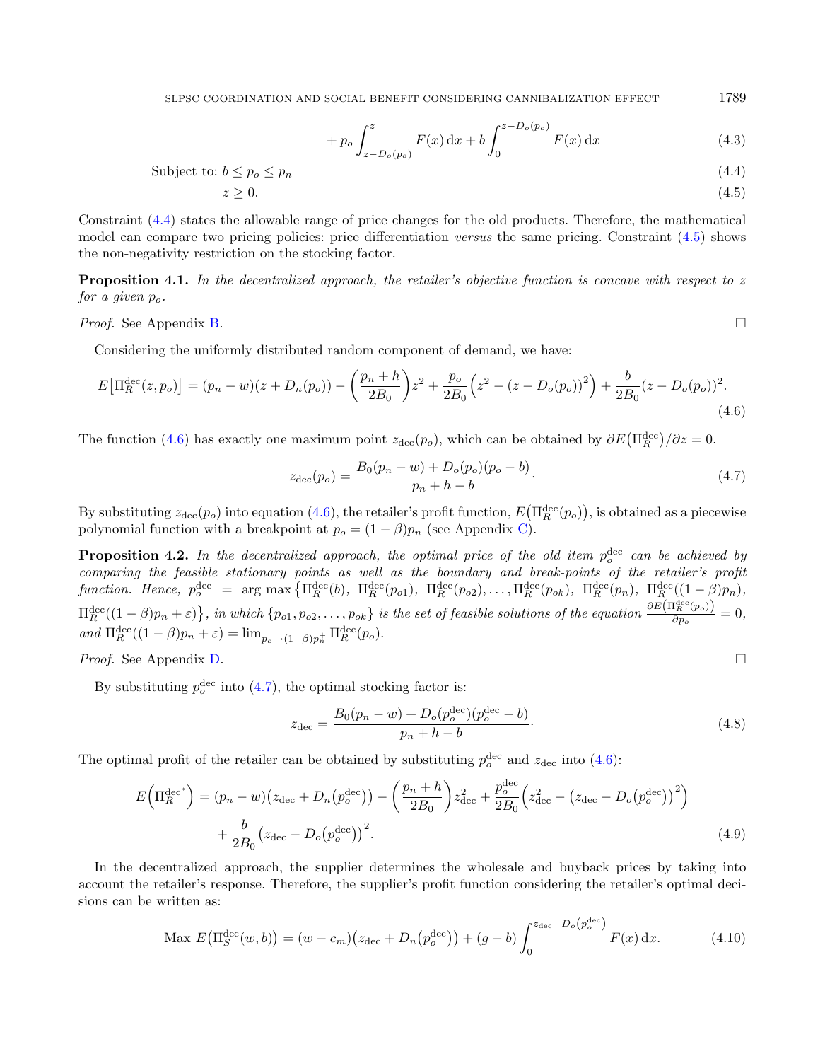SLPSC COORDINATION AND SOCIAL BENEFIT CONSIDERING CANNIBALIZATION EFFECT  $1789$ 

<span id="page-8-3"></span><span id="page-8-2"></span><span id="page-8-1"></span><span id="page-8-0"></span>
$$
+ p_o \int_{z-D_o(p_o)}^{z} F(x) dx + b \int_0^{z-D_o(p_o)} F(x) dx
$$
\n(4.3)

Subject to:  $b \leq p_o \leq p_n$  (4.4)

$$
z \ge 0.\tag{4.5}
$$

Constraint [\(4.4\)](#page-8-0) states the allowable range of price changes for the old products. Therefore, the mathematical model can compare two pricing policies: price differentiation versus the same pricing. Constraint [\(4.5\)](#page-8-1) shows the non-negativity restriction on the stocking factor.

<span id="page-8-6"></span>**Proposition 4.1.** In the decentralized approach, the retailer's objective function is concave with respect to  $z$ for a given  $p_{\alpha}$ .

Proof. See Appendix [B.](#page-21-0)

Considering the uniformly distributed random component of demand, we have:

$$
E\left[\Pi_R^{\text{dec}}(z, p_o)\right] = (p_n - w)(z + D_n(p_o)) - \left(\frac{p_n + h}{2B_0}\right)z^2 + \frac{p_o}{2B_0}\left(z^2 - (z - D_o(p_o))^2\right) + \frac{b}{2B_0}(z - D_o(p_o))^2.
$$
\n(4.6)

The function [\(4.6\)](#page-8-2) has exactly one maximum point  $z_{\text{dec}}(p_o)$ , which can be obtained by  $\partial E(\Pi_R^{\text{dec}})/\partial z = 0$ .

<span id="page-8-5"></span>
$$
z_{\text{dec}}(p_o) = \frac{B_0(p_n - w) + D_o(p_o)(p_o - b)}{p_n + h - b}.
$$
\n(4.7)

By substituting  $z_{\text{dec}}(p_o)$  into equation [\(4.6\)](#page-8-2), the retailer's profit function,  $E(\Pi_R^{\text{dec}}(p_o))$ , is obtained as a piecewise polynomial function with a breakpoint at  $p_o = (1 - \beta)p_n$  (see Appendix [C\)](#page-21-1).

<span id="page-8-4"></span>**Proposition 4.2.** In the decentralized approach, the optimal price of the old item  $p_o^{\text{dec}}$  can be achieved by comparing the feasible stationary points as well as the boundary and break-points of the retailer's profit function. Hence,  $p_o^{\text{dec}} = \arg \max \left\{ \Pi_R^{\text{dec}}(b), \Pi_R^{\text{dec}}(p_{o1}), \Pi_R^{\text{dec}}(p_{o2}), \ldots, \Pi_R^{\text{dec}}(p_{ok}), \Pi_R^{\text{dec}}(p_n), \Pi_R^{\text{dec}}((1-\beta)p_n), \right\}$  $\Pi_R^{\rm dec}((1-\beta)p_n+\varepsilon)\big\}$ , in which  $\{p_{o1}, p_{o2}, \ldots, p_{ok}\}$  is the set of feasible solutions of the equation  $\frac{\partial E(\Pi_R^{\rm dec}(p_o))}{\partial p_o}$  $\frac{P_R(P^o)}{\partial p_o} = 0,$ and  $\Pi_R^{\text{dec}}((1-\beta)p_n+\varepsilon) = \lim_{p_o \to (1-\beta)p_n^+} \Pi_R^{\text{dec}}(p_o).$ 

Proof. See Appendix [D.](#page-21-2)

By substituting  $p_o^{\text{dec}}$  into [\(4.7\)](#page-8-3), the optimal stocking factor is:

<span id="page-8-7"></span>
$$
z_{\text{dec}} = \frac{B_0(p_n - w) + D_o(p_o^{\text{dec}})(p_o^{\text{dec}} - b)}{p_n + h - b}.
$$
\n(4.8)

The optimal profit of the retailer can be obtained by substituting  $p_o^{\text{dec}}$  and  $z_{\text{dec}}$  into [\(4.6\)](#page-8-2):

$$
E\left(\Pi_R^{\text{dec}}\right) = (p_n - w) \left(z_{\text{dec}} + D_n(p_o^{\text{dec}})\right) - \left(\frac{p_n + h}{2B_0}\right) z_{\text{dec}}^2 + \frac{p_o^{\text{dec}}}{2B_0} \left(z_{\text{dec}}^2 - \left(z_{\text{dec}} - D_o(p_o^{\text{dec}})\right)^2\right) + \frac{b}{2B_0} \left(z_{\text{dec}} - D_o(p_o^{\text{dec}})\right)^2. \tag{4.9}
$$

In the decentralized approach, the supplier determines the wholesale and buyback prices by taking into account the retailer's response. Therefore, the supplier's profit function considering the retailer's optimal decisions can be written as:

$$
\text{Max } E\big(\Pi_S^{\text{dec}}(w, b)\big) = (w - c_m) \big(z_{\text{dec}} + D_n\big(p_o^{\text{dec}}\big)\big) + (g - b) \int_0^{z_{\text{dec}} - D_o\big(p_o^{\text{dec}}\big)} F(x) \, \mathrm{d}x. \tag{4.10}
$$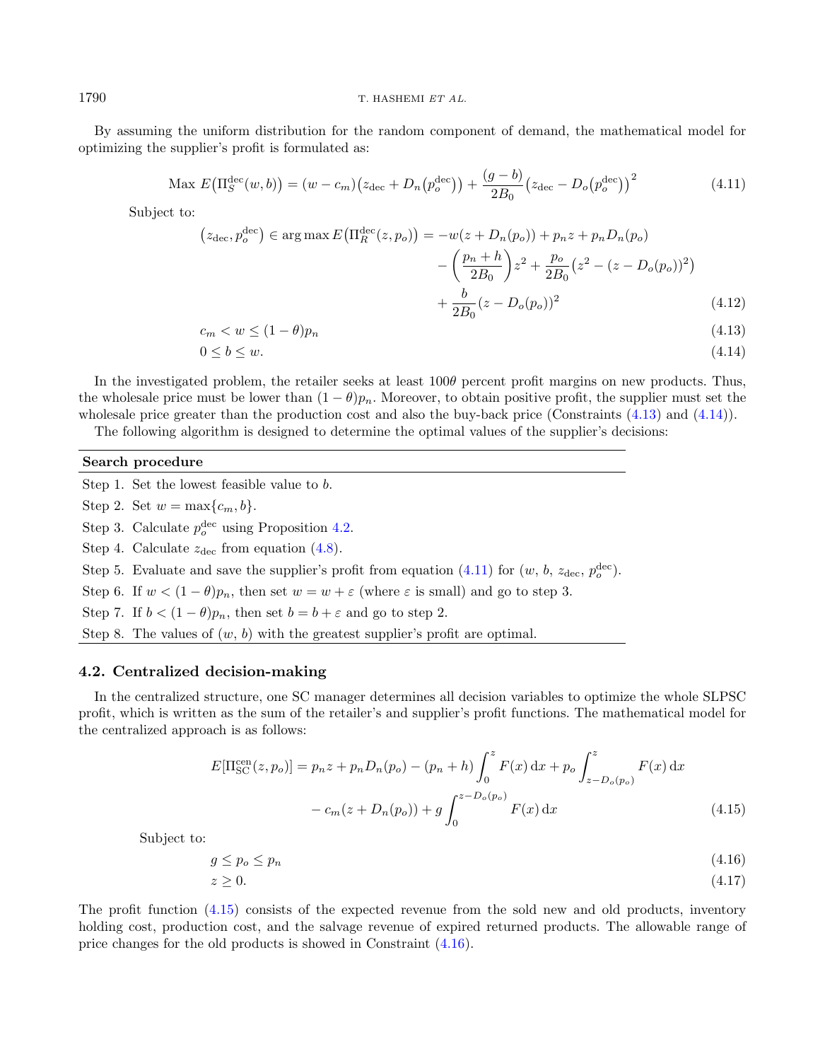By assuming the uniform distribution for the random component of demand, the mathematical model for optimizing the supplier's profit is formulated as:

$$
\text{Max } E\big(\Pi_S^{\text{dec}}(w, b)\big) = (w - c_m) \big(z_{\text{dec}} + D_n\big(p_o^{\text{dec}}\big)\big) + \frac{(g - b)}{2B_0} \big(z_{\text{dec}} - D_o\big(p_o^{\text{dec}}\big)\big)^2 \tag{4.11}
$$

Subject to:

<span id="page-9-2"></span><span id="page-9-1"></span><span id="page-9-0"></span>
$$
(z_{\text{dec}}, p_o^{\text{dec}}) \in \arg \max E \left( \Pi_R^{\text{dec}}(z, p_o) \right) = -w(z + D_n(p_o)) + p_n z + p_n D_n(p_o) - \left( \frac{p_n + h}{2B_0} \right) z^2 + \frac{p_o}{2B_0} (z^2 - (z - D_o(p_o))^2) + \frac{b}{2B_0} (z - D_o(p_o))^2
$$
(4.12)

$$
c_m < w \le (1 - \theta)p_n \tag{4.13}
$$

$$
0 \le b \le w. \tag{4.14}
$$

In the investigated problem, the retailer seeks at least  $100\theta$  percent profit margins on new products. Thus, the wholesale price must be lower than  $(1 - \theta)p_n$ . Moreover, to obtain positive profit, the supplier must set the wholesale price greater than the production cost and also the buy-back price (Constraints  $(4.13)$ ) and  $(4.14)$ ).

The following algorithm is designed to determine the optimal values of the supplier's decisions:

### Search procedure

Step 1. Set the lowest feasible value to  $b$ . Step 2. Set  $w = \max\{c_m, b\}.$ Step 3. Calculate  $p_o^{\text{dec}}$  using Proposition [4.2.](#page-8-4) Step 4. Calculate  $z_{\text{dec}}$  from equation [\(4.8\)](#page-8-5). Step 5. Evaluate and save the supplier's profit from equation [\(4.11\)](#page-9-2) for  $(w, b, z_{\text{dec}}, p_o^{\text{dec}})$ . Step 6. If  $w < (1 - \theta)p_n$ , then set  $w = w + \varepsilon$  (where  $\varepsilon$  is small) and go to step 3. Step 7. If  $b < (1 - \theta)p_n$ , then set  $b = b + \varepsilon$  and go to step 2. Step 8. The values of  $(w, b)$  with the greatest supplier's profit are optimal.

#### 4.2. Centralized decision-making

In the centralized structure, one SC manager determines all decision variables to optimize the whole SLPSC profit, which is written as the sum of the retailer's and supplier's profit functions. The mathematical model for the centralized approach is as follows:

<span id="page-9-4"></span><span id="page-9-3"></span>
$$
E[\Pi_{SC}^{cen}(z, p_o)] = p_n z + p_n D_n(p_o) - (p_n + h) \int_0^z F(x) dx + p_o \int_{z - D_o(p_o)}^z F(x) dx
$$
  
-  $c_m(z + D_n(p_o)) + g \int_0^{z - D_o(p_o)} F(x) dx$  (4.15)

Subject to:

$$
g \le p_o \le p_n \tag{4.16}
$$

$$
z \ge 0.\tag{4.17}
$$

The profit function [\(4.15\)](#page-9-3) consists of the expected revenue from the sold new and old products, inventory holding cost, production cost, and the salvage revenue of expired returned products. The allowable range of price changes for the old products is showed in Constraint [\(4.16\)](#page-9-4).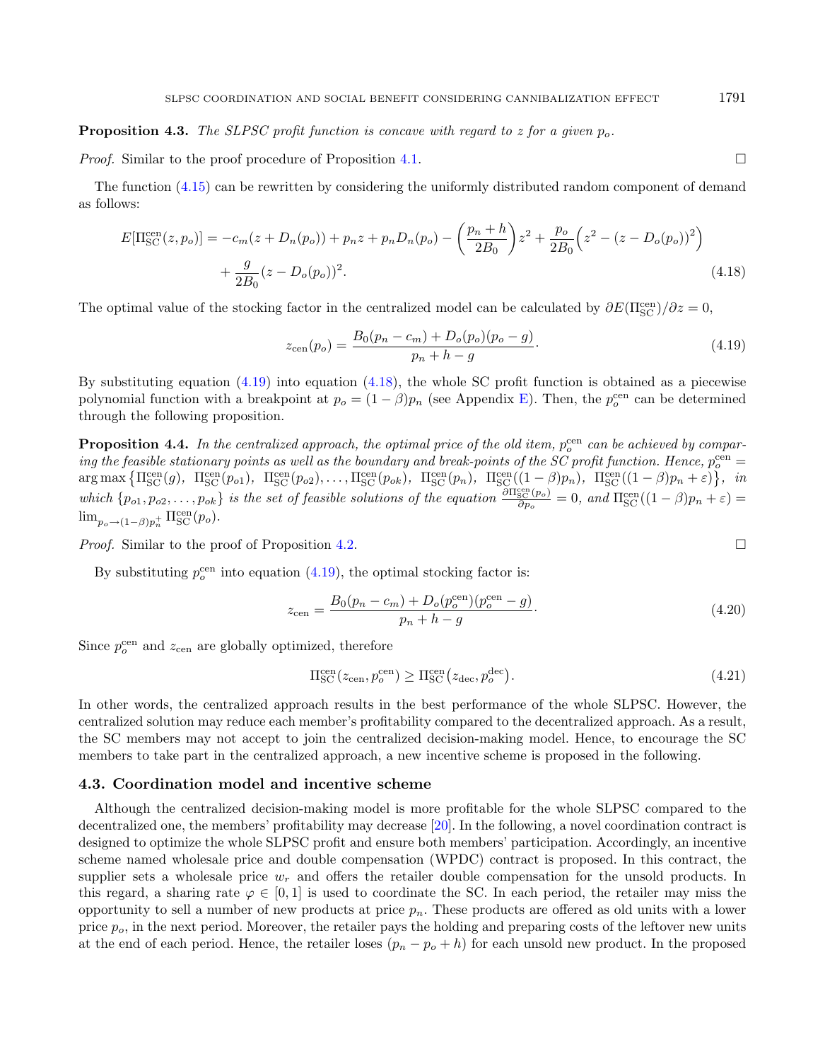*Proof.* Similar to the proof procedure of Proposition [4.1.](#page-8-6)

The function [\(4.15\)](#page-9-3) can be rewritten by considering the uniformly distributed random component of demand as follows:

$$
E[\Pi_{SC}^{\text{cen}}(z, p_o)] = -c_m(z + D_n(p_o)) + p_n z + p_n D_n(p_o) - \left(\frac{p_n + h}{2B_0}\right)z^2 + \frac{p_o}{2B_0}\left(z^2 - (z - D_o(p_o))^2\right) + \frac{g}{2B_0}(z - D_o(p_o))^2.
$$
\n(4.18)

The optimal value of the stocking factor in the centralized model can be calculated by  $\partial E(\Pi_{\rm SC}^{\rm cen})/\partial z = 0$ ,

$$
z_{\rm cen}(p_o) = \frac{B_0(p_n - c_m) + D_o(p_o)(p_o - g)}{p_n + h - g}.
$$
\n(4.19)

By substituting equation  $(4.19)$  into equation  $(4.18)$ , the whole SC profit function is obtained as a piecewise polynomial function with a breakpoint at  $p_o = (1 - \beta)p_n$  (see Appendix [E\)](#page-22-5). Then, the  $p_o^{\text{cen}}$  can be determined through the following proposition.

**Proposition 4.4.** In the centralized approach, the optimal price of the old item,  $p_o^{\rm cen}$  can be achieved by comparing the feasible stationary points as well as the boundary and break-points of the SC profit function. Hence,  $p^{\rm cen}_o =$  $\arg \max \left\{ \Pi_{\text{SC}}^{\text{cen}}(g), \Pi_{\text{SC}}^{\text{cen}}(p_{o1}), \Pi_{\text{SC}}^{\text{cen}}(p_{o2}), \ldots, \Pi_{\text{SC}}^{\text{cen}}(p_{ok}), \Pi_{\text{SC}}^{\text{cen}}(p_n), \Pi_{\text{SC}}^{\text{cen}}((1-\beta)p_n), \Pi_{\text{SC}}^{\text{cen}}((1-\beta)p_n+\varepsilon) \right\}, \quad \text{in}$ which  $\{p_{o1}, p_{o2}, \ldots, p_{ok}\}\$ is the set of feasible solutions of the equation  $\frac{\partial \Pi_{\text{SC}}^{\text{cen}}(p_o)}{\partial p_o} = 0$ , and  $\Pi_{\text{SC}}^{\text{cen}}((1-\beta)p_n + \varepsilon) =$  $\lim_{p_o \to (1-\beta)p_n^+} \Pi_{\rm SC}^{\rm cen}(p_o).$ 

Proof. Similar to the proof of Proposition [4.2.](#page-8-4)

By substituting  $p_o^{\text{cen}}$  into equation [\(4.19\)](#page-10-0), the optimal stocking factor is:

$$
z_{\text{cen}} = \frac{B_0(p_n - c_m) + D_o(p_o^{\text{cen}})(p_o^{\text{cen}} - g)}{p_n + h - g}.
$$
\n(4.20)

Since  $p_o^{\text{cen}}$  and  $z_{\text{cen}}$  are globally optimized, therefore

$$
\Pi_{\rm SC}^{\rm cen}(z_{\rm cen}, p_o^{\rm cen}) \ge \Pi_{\rm SC}^{\rm cen}(z_{\rm dec}, p_o^{\rm dec}). \tag{4.21}
$$

In other words, the centralized approach results in the best performance of the whole SLPSC. However, the centralized solution may reduce each member's profitability compared to the decentralized approach. As a result, the SC members may not accept to join the centralized decision-making model. Hence, to encourage the SC members to take part in the centralized approach, a new incentive scheme is proposed in the following.

#### 4.3. Coordination model and incentive scheme

Although the centralized decision-making model is more profitable for the whole SLPSC compared to the decentralized one, the members' profitability may decrease [\[20\]](#page-23-30). In the following, a novel coordination contract is designed to optimize the whole SLPSC profit and ensure both members' participation. Accordingly, an incentive scheme named wholesale price and double compensation (WPDC) contract is proposed. In this contract, the supplier sets a wholesale price  $w_r$  and offers the retailer double compensation for the unsold products. In this regard, a sharing rate  $\varphi \in [0,1]$  is used to coordinate the SC. In each period, the retailer may miss the opportunity to sell a number of new products at price  $p_n$ . These products are offered as old units with a lower price  $p<sub>o</sub>$ , in the next period. Moreover, the retailer pays the holding and preparing costs of the leftover new units at the end of each period. Hence, the retailer loses  $(p_n - p_o + h)$  for each unsold new product. In the proposed

<span id="page-10-1"></span><span id="page-10-0"></span>
$$
\Box
$$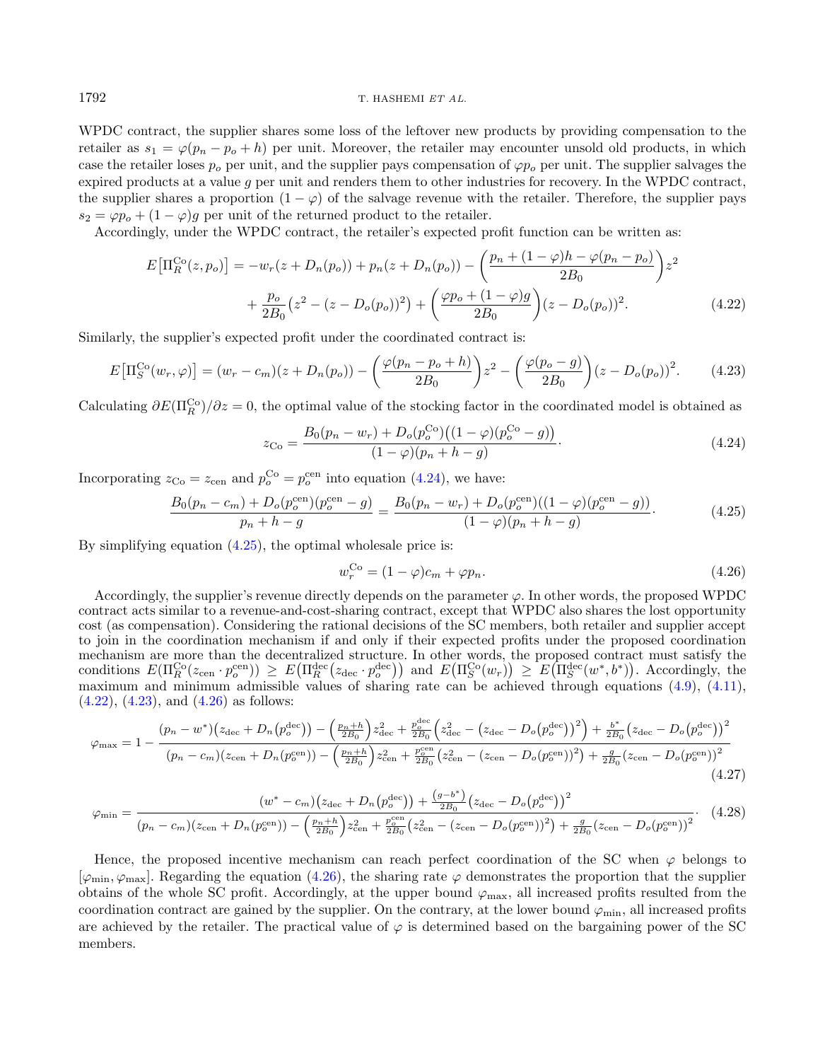WPDC contract, the supplier shares some loss of the leftover new products by providing compensation to the retailer as  $s_1 = \varphi(p_n - p_o + h)$  per unit. Moreover, the retailer may encounter unsold old products, in which case the retailer loses  $p_o$  per unit, and the supplier pays compensation of  $\varphi p_o$  per unit. The supplier salvages the expired products at a value g per unit and renders them to other industries for recovery. In the WPDC contract, the supplier shares a proportion  $(1 - \varphi)$  of the salvage revenue with the retailer. Therefore, the supplier pays  $s_2 = \varphi p_o + (1 - \varphi)g$  per unit of the returned product to the retailer.

Accordingly, under the WPDC contract, the retailer's expected profit function can be written as:

$$
E\left[\Pi_R^{\text{Co}}(z, p_o)\right] = -w_r(z + D_n(p_o)) + p_n(z + D_n(p_o)) - \left(\frac{p_n + (1 - \varphi)h - \varphi(p_n - p_o)}{2B_0}\right)z^2 + \frac{p_o}{2B_0}(z^2 - (z - D_o(p_o))^2) + \left(\frac{\varphi p_o + (1 - \varphi)g}{2B_0}\right)(z - D_o(p_o))^2.
$$
\n(4.22)

Similarly, the supplier's expected profit under the coordinated contract is:

$$
E\left[\Pi_S^{\text{Co}}(w_r,\varphi)\right] = (w_r - c_m)(z + D_n(p_o)) - \left(\frac{\varphi(p_n - p_o + h)}{2B_0}\right)z^2 - \left(\frac{\varphi(p_o - g)}{2B_0}\right)(z - D_o(p_o))^2. \tag{4.23}
$$

Calculating  $\partial E(\Pi_R^{\text{Co}})/\partial z = 0$ , the optimal value of the stocking factor in the coordinated model is obtained as

<span id="page-11-4"></span><span id="page-11-3"></span><span id="page-11-2"></span><span id="page-11-1"></span><span id="page-11-0"></span>
$$
z_{\text{Co}} = \frac{B_0(p_n - w_r) + D_o(p_o^{\text{Co}})((1 - \varphi)(p_o^{\text{Co}} - g))}{(1 - \varphi)(p_n + h - g)}.
$$
\n(4.24)

Incorporating  $z_{\text{Co}} = z_{\text{cen}}$  and  $p_o^{\text{Co}} = p_o^{\text{cen}}$  into equation [\(4.24\)](#page-11-0), we have:

$$
\frac{B_0(p_n - c_m) + D_o(p_o^{\text{cen}})(p_o^{\text{cen}} - g)}{p_n + h - g} = \frac{B_0(p_n - w_r) + D_o(p_o^{\text{cen}})((1 - \varphi)(p_o^{\text{cen}} - g))}{(1 - \varphi)(p_n + h - g)}.
$$
(4.25)

By simplifying equation  $(4.25)$ , the optimal wholesale price is:

$$
w_r^{\text{Co}} = (1 - \varphi)c_m + \varphi p_n. \tag{4.26}
$$

Accordingly, the supplier's revenue directly depends on the parameter  $\varphi$ . In other words, the proposed WPDC contract acts similar to a revenue-and-cost-sharing contract, except that WPDC also shares the lost opportunity cost (as compensation). Considering the rational decisions of the SC members, both retailer and supplier accept to join in the coordination mechanism if and only if their expected profits under the proposed coordination mechanism are more than the decentralized structure. In other words, the proposed contract must satisfy the conditions  $E(\Pi_R^{\text{Co}}(z_{\text{cen}} \cdot p_o^{\text{cen}})) \geq E(\Pi_R^{\text{dec}}(z_{\text{dec}} \cdot p_o^{\text{dec}}))$  and  $E(\Pi_S^{\text{Co}}(w_r)) \geq E(\Pi_S^{\text{dec}}(w^*, b^*))$ . Accordingly, the maximum and minimum admissible values of sharing rate can be achieved through equations [\(4.9\)](#page-8-7), [\(4.11\)](#page-9-2),  $(4.22)$ ,  $(4.23)$ , and  $(4.26)$  as follows:

$$
\varphi_{\text{max}} = 1 - \frac{(p_n - w^*)(z_{\text{dec}} + D_n(p_o^{\text{dec}})) - \left(\frac{p_n + h}{2B_0}\right)z_{\text{dec}}^2 + \frac{p_o^{\text{dec}}}{2B_0}\left(z_{\text{dec}}^2 - \left(z_{\text{dec}} - D_o(p_o^{\text{dec}})\right)^2\right) + \frac{b^*}{2B_0}\left(z_{\text{dec}} - D_o(p_o^{\text{dec}})\right)^2}{(p_n - c_m)(z_{\text{cen}} + D_n(p_o^{\text{cen}})) - \left(\frac{p_n + h}{2B_0}\right)z_{\text{cen}}^2 + \frac{p_o^{\text{cen}}}{2B_0}\left(z_{\text{cen}}^2 - \left(z_{\text{cen}} - D_o(p_o^{\text{cen}})\right)^2\right) + \frac{g}{2B_0}\left(z_{\text{cen}} - D_o(p_o^{\text{cen}})\right)^2}
$$
\n
$$
(4.27)
$$

$$
\varphi_{\min} = \frac{(w^* - c_m)(z_{\text{dec}} + D_n(p_o^{\text{dec}})) + \frac{(g - b^*)}{2B_0}(z_{\text{dec}} - D_o(p_o^{\text{dec}}))^2}{(p_n - c_m)(z_{\text{cen}} + D_n(p_o^{\text{cen}})) - (\frac{p_n + h}{2B_0})z_{\text{cen}}^2 + \frac{p_o^{\text{cen}}}{2B_0}(z_{\text{cen}}^2 - (z_{\text{cen}} - D_o(p_o^{\text{cen}}))^2) + \frac{g}{2B_0}(z_{\text{cen}} - D_o(p_o^{\text{cen}}))^2}.
$$
(4.28)

Hence, the proposed incentive mechanism can reach perfect coordination of the SC when  $\varphi$  belongs to  $[\varphi_{\min}, \varphi_{\max}]$ . Regarding the equation [\(4.26\)](#page-11-4), the sharing rate  $\varphi$  demonstrates the proportion that the supplier obtains of the whole SC profit. Accordingly, at the upper bound  $\varphi_{\text{max}}$ , all increased profits resulted from the coordination contract are gained by the supplier. On the contrary, at the lower bound  $\varphi_{\rm min}$ , all increased profits are achieved by the retailer. The practical value of  $\varphi$  is determined based on the bargaining power of the SC members.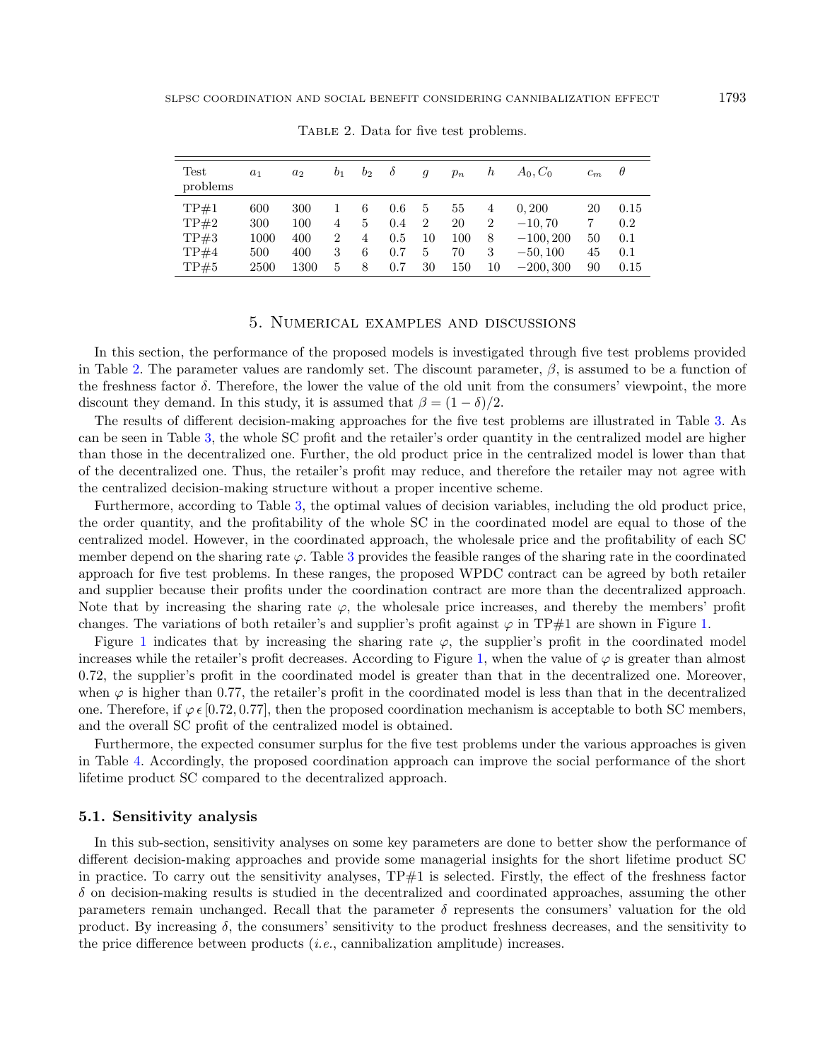<span id="page-12-1"></span>TABLE 2. Data for five test problems.

| Test<br>problems     | a <sub>1</sub>     | a <sub>2</sub>    | b <sub>1</sub>      | b <sub>2</sub> | $\delta$          | $\mathfrak{g}$ | $p_n$           | h                        | $A_0, C_0$                       | $c_m$    | $\theta$           |
|----------------------|--------------------|-------------------|---------------------|----------------|-------------------|----------------|-----------------|--------------------------|----------------------------------|----------|--------------------|
| TP#1<br>TP#2<br>TP#3 | 600<br>300<br>1000 | 300<br>100<br>400 | 4<br>$\overline{2}$ | 6<br>5<br>4    | 0.6<br>0.4<br>0.5 | 5<br>2<br>10   | 55<br>20<br>100 | 4<br>$\overline{2}$<br>8 | 0.200<br>$-10.70$<br>$-100, 200$ | 20<br>50 | 0.15<br>0.2<br>0.1 |
| TP#4<br>TP#5         | 500<br>2500        | 400<br>1300       | 3<br>5              | 6<br>8         | 0.7<br>0.7        | 5<br>30        | 70<br>150       | 3<br>10                  | $-50, 100$<br>$-200, 300$        | 45<br>90 | 0.1<br>0.15        |

5. Numerical examples and discussions

<span id="page-12-0"></span>In this section, the performance of the proposed models is investigated through five test problems provided in Table [2.](#page-12-1) The parameter values are randomly set. The discount parameter,  $\beta$ , is assumed to be a function of the freshness factor  $\delta$ . Therefore, the lower the value of the old unit from the consumers' viewpoint, the more discount they demand. In this study, it is assumed that  $\beta = (1 - \delta)/2$ .

The results of different decision-making approaches for the five test problems are illustrated in Table [3.](#page-13-0) As can be seen in Table [3,](#page-13-0) the whole SC profit and the retailer's order quantity in the centralized model are higher than those in the decentralized one. Further, the old product price in the centralized model is lower than that of the decentralized one. Thus, the retailer's profit may reduce, and therefore the retailer may not agree with the centralized decision-making structure without a proper incentive scheme.

Furthermore, according to Table [3,](#page-13-0) the optimal values of decision variables, including the old product price, the order quantity, and the profitability of the whole SC in the coordinated model are equal to those of the centralized model. However, in the coordinated approach, the wholesale price and the profitability of each SC member depend on the sharing rate  $\varphi$ . Table [3](#page-13-0) provides the feasible ranges of the sharing rate in the coordinated approach for five test problems. In these ranges, the proposed WPDC contract can be agreed by both retailer and supplier because their profits under the coordination contract are more than the decentralized approach. Note that by increasing the sharing rate  $\varphi$ , the wholesale price increases, and thereby the members' profit changes. The variations of both retailer's and supplier's profit against  $\varphi$  in TP#1 are shown in Figure [1.](#page-13-1)

Figure [1](#page-13-1) indicates that by increasing the sharing rate  $\varphi$ , the supplier's profit in the coordinated model increases while the retailer's profit decreases. According to Figure [1,](#page-13-1) when the value of  $\varphi$  is greater than almost 0.72, the supplier's profit in the coordinated model is greater than that in the decentralized one. Moreover, when  $\varphi$  is higher than 0.77, the retailer's profit in the coordinated model is less than that in the decentralized one. Therefore, if  $\varphi \in [0.72, 0.77]$ , then the proposed coordination mechanism is acceptable to both SC members, and the overall SC profit of the centralized model is obtained.

Furthermore, the expected consumer surplus for the five test problems under the various approaches is given in Table [4.](#page-14-0) Accordingly, the proposed coordination approach can improve the social performance of the short lifetime product SC compared to the decentralized approach.

#### 5.1. Sensitivity analysis

In this sub-section, sensitivity analyses on some key parameters are done to better show the performance of different decision-making approaches and provide some managerial insights for the short lifetime product SC in practice. To carry out the sensitivity analyses,  $TP#1$  is selected. Firstly, the effect of the freshness factor  $\delta$  on decision-making results is studied in the decentralized and coordinated approaches, assuming the other parameters remain unchanged. Recall that the parameter  $\delta$  represents the consumers' valuation for the old product. By increasing  $\delta$ , the consumers' sensitivity to the product freshness decreases, and the sensitivity to the price difference between products  $(i.e.,$  cannibalization amplitude) increases.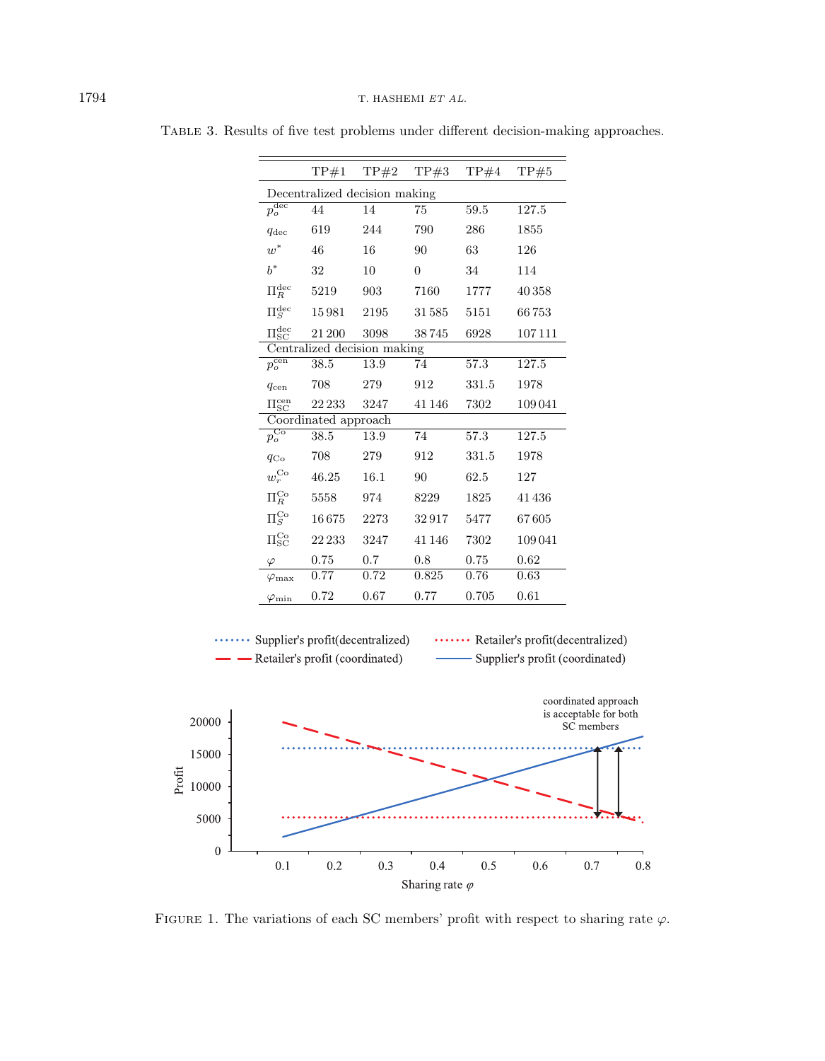|                               |                               | $TP#1$ $TP#2$ $TP#3$ |          | TP#4  | TP#5   |
|-------------------------------|-------------------------------|----------------------|----------|-------|--------|
|                               | Decentralized decision making |                      |          |       |        |
| $p_o^{\rm dec}$               | 44                            | 14                   | 75       | 59.5  | 127.5  |
| $q_{\text{dec}}$              | 619                           | 244                  | 790      | 286   | 1855   |
| $\boldsymbol{w}^*$            | 46                            | 16                   | 90       | 63    | 126    |
| $b^*$                         | 32                            | 10                   | $\Omega$ | 34    | 114    |
| $\Pi_R^{\rm dec}$             | 5219                          | 903                  | 7160     | 1777  | 40358  |
| $\Pi_S^{\rm dec}$             | 15981                         | 2195                 | 31585    | 5151  | 66753  |
| $\Pi^{\rm dec}_{\rm SC}$      | 21 200                        | 3098                 | 38745    | 6928  | 107111 |
|                               | Centralized decision making   |                      |          |       |        |
| $\overline{p^{\rm cen}_o}$    | 38.5                          | $\overline{13.9}$    | 74       | 57.3  | 127.5  |
| $q_{\rm cen}$                 | 708                           | 279                  | 912      | 331.5 | 1978   |
| $\Pi^{\rm cen}_{\rm SC}$      | 22 233                        | 3247                 | 41 146   | 7302  | 109041 |
|                               | Coordinated approach          |                      |          |       |        |
| $p_o^{\text{Co}}$             | 38.5                          | 13.9                 | 74       | 57.3  | 127.5  |
| $q_{\rm Co}$                  | 708                           | 279                  | 912      | 331.5 | 1978   |
| $w_r^{\rm{Co}}$               | 46.25                         | 16.1                 | 90       | 62.5  | 127    |
| $\Pi_R^{\rm Co}$              | 5558                          | 974                  | 8229     | 1825  | 41436  |
| $\Pi_S^{\text{Co}}$           | 16675                         | 2273                 | 32917    | 5477  | 67605  |
| $\Pi^{\text{Co}}_{\text{SC}}$ | 22 233                        | 3247                 | 41 146   | 7302  | 109041 |
| $\varphi$                     | 0.75                          | 0.7                  | 0.8      | 0.75  | 0.62   |
| $\varphi_{\rm max}$           | 0.77                          | 0.72                 | 0.825    | 0.76  | 0.63   |
| $\varphi_{\rm min}$           | 0.72                          | 0.67                 | 0.77     | 0.705 | 0.61   |
|                               |                               |                      |          |       |        |

<span id="page-13-0"></span>Table 3. Results of five test problems under different decision-making approaches.

<span id="page-13-1"></span>

FIGURE 1. The variations of each SC members' profit with respect to sharing rate  $\varphi$ .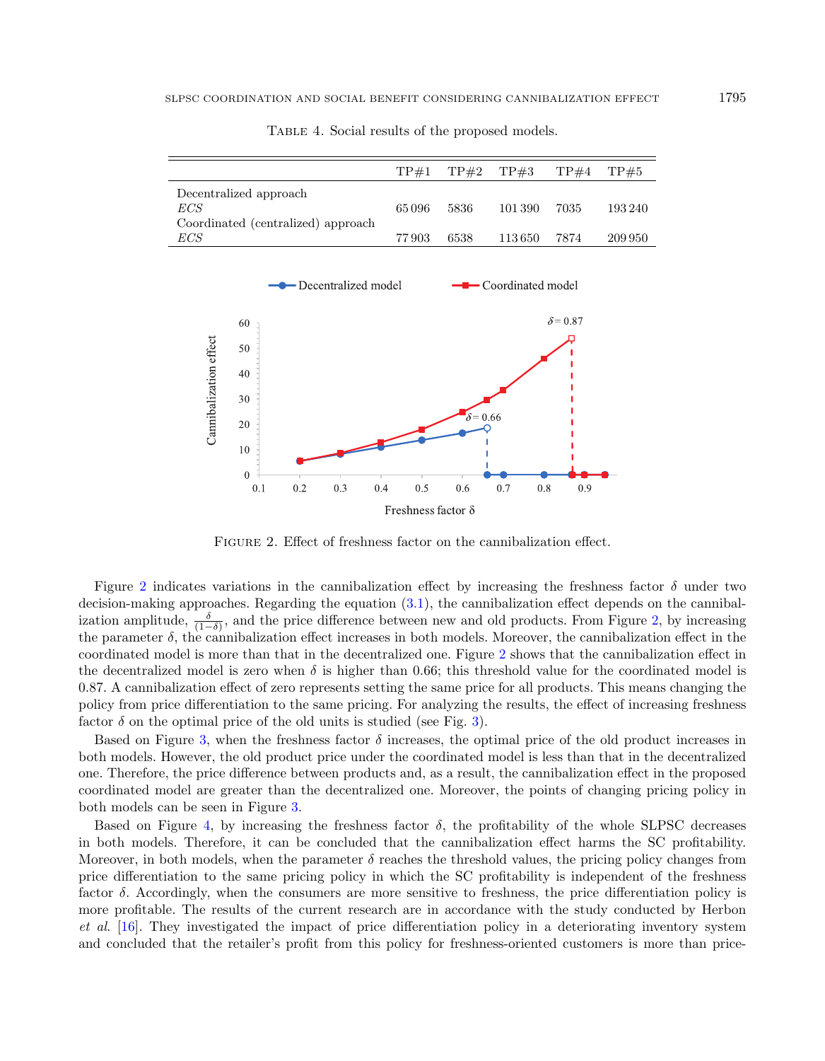|                                    | TP#1  | TP#2 | TP#3    | TP#4 | TP#5    |
|------------------------------------|-------|------|---------|------|---------|
| Decentralized approach             |       |      |         |      |         |
| ECS                                | 65096 | 5836 | 101 390 | 7035 | 193240  |
| Coordinated (centralized) approach |       |      |         |      |         |
| ECS                                | 77903 | 6538 | 113 650 | 7874 | 209 950 |

<span id="page-14-0"></span>Table 4. Social results of the proposed models.

<span id="page-14-1"></span>

Figure 2. Effect of freshness factor on the cannibalization effect.

Figure [2](#page-14-1) indicates variations in the cannibalization effect by increasing the freshness factor  $\delta$  under two decision-making approaches. Regarding the equation [\(3.1\)](#page-4-1), the cannibalization effect depends on the cannibalization amplitude,  $\frac{\delta}{(1-\delta)}$ , and the price difference between new and old products. From Figure [2,](#page-14-1) by increasing the parameter  $\delta$ , the cannibalization effect increases in both models. Moreover, the cannibalization effect in the coordinated model is more than that in the decentralized one. Figure [2](#page-14-1) shows that the cannibalization effect in the decentralized model is zero when  $\delta$  is higher than 0.66; this threshold value for the coordinated model is 0.87. A cannibalization effect of zero represents setting the same price for all products. This means changing the policy from price differentiation to the same pricing. For analyzing the results, the effect of increasing freshness factor  $\delta$  on the optimal price of the old units is studied (see Fig. [3\)](#page-15-0).

Based on Figure [3,](#page-15-0) when the freshness factor  $\delta$  increases, the optimal price of the old product increases in both models. However, the old product price under the coordinated model is less than that in the decentralized one. Therefore, the price difference between products and, as a result, the cannibalization effect in the proposed coordinated model are greater than the decentralized one. Moreover, the points of changing pricing policy in both models can be seen in Figure [3.](#page-15-0)

Based on Figure [4,](#page-15-1) by increasing the freshness factor  $\delta$ , the profitability of the whole SLPSC decreases in both models. Therefore, it can be concluded that the cannibalization effect harms the SC profitability. Moreover, in both models, when the parameter  $\delta$  reaches the threshold values, the pricing policy changes from price differentiation to the same pricing policy in which the SC profitability is independent of the freshness factor  $\delta$ . Accordingly, when the consumers are more sensitive to freshness, the price differentiation policy is more profitable. The results of the current research are in accordance with the study conducted by Herbon et al. [\[16\]](#page-23-9). They investigated the impact of price differentiation policy in a deteriorating inventory system and concluded that the retailer's profit from this policy for freshness-oriented customers is more than price-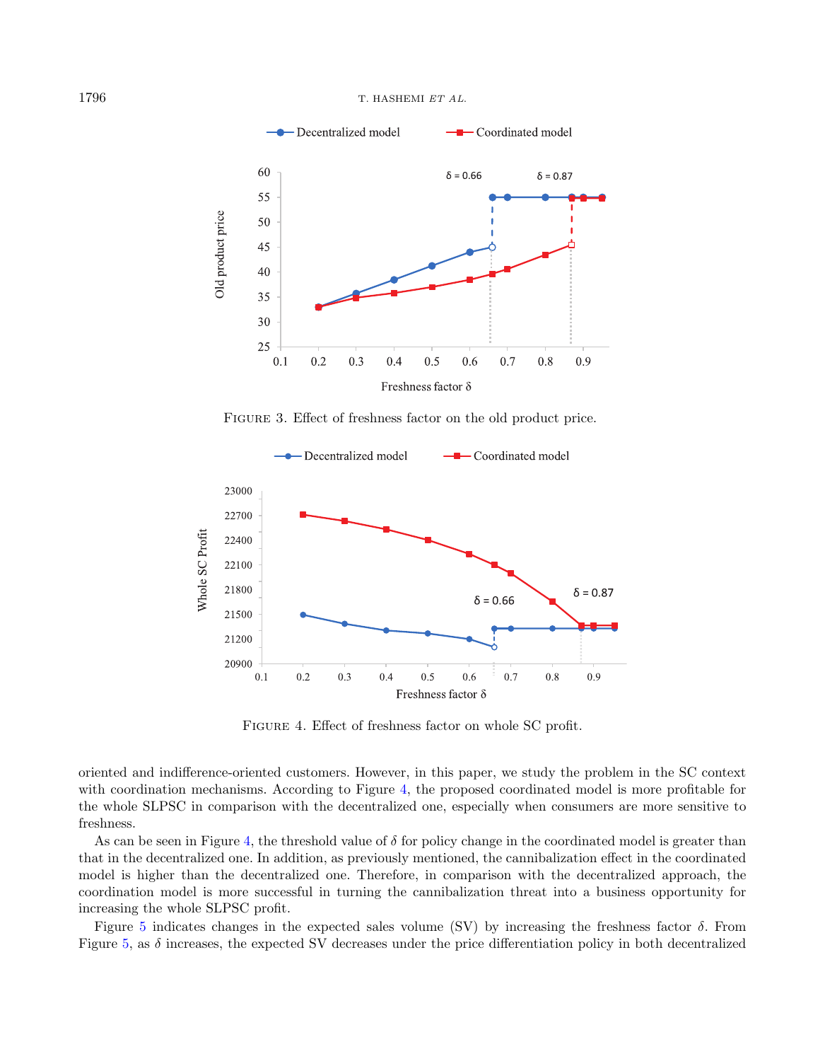<span id="page-15-0"></span>

<span id="page-15-1"></span>Figure 3. Effect of freshness factor on the old product price.



FIGURE 4. Effect of freshness factor on whole SC profit.

oriented and indifference-oriented customers. However, in this paper, we study the problem in the SC context with coordination mechanisms. According to Figure [4,](#page-15-1) the proposed coordinated model is more profitable for the whole SLPSC in comparison with the decentralized one, especially when consumers are more sensitive to freshness.

As can be seen in Figure [4,](#page-15-1) the threshold value of  $\delta$  for policy change in the coordinated model is greater than that in the decentralized one. In addition, as previously mentioned, the cannibalization effect in the coordinated model is higher than the decentralized one. Therefore, in comparison with the decentralized approach, the coordination model is more successful in turning the cannibalization threat into a business opportunity for increasing the whole SLPSC profit.

Figure [5](#page-16-0) indicates changes in the expected sales volume (SV) by increasing the freshness factor  $\delta$ . From Figure [5,](#page-16-0) as  $\delta$  increases, the expected SV decreases under the price differentiation policy in both decentralized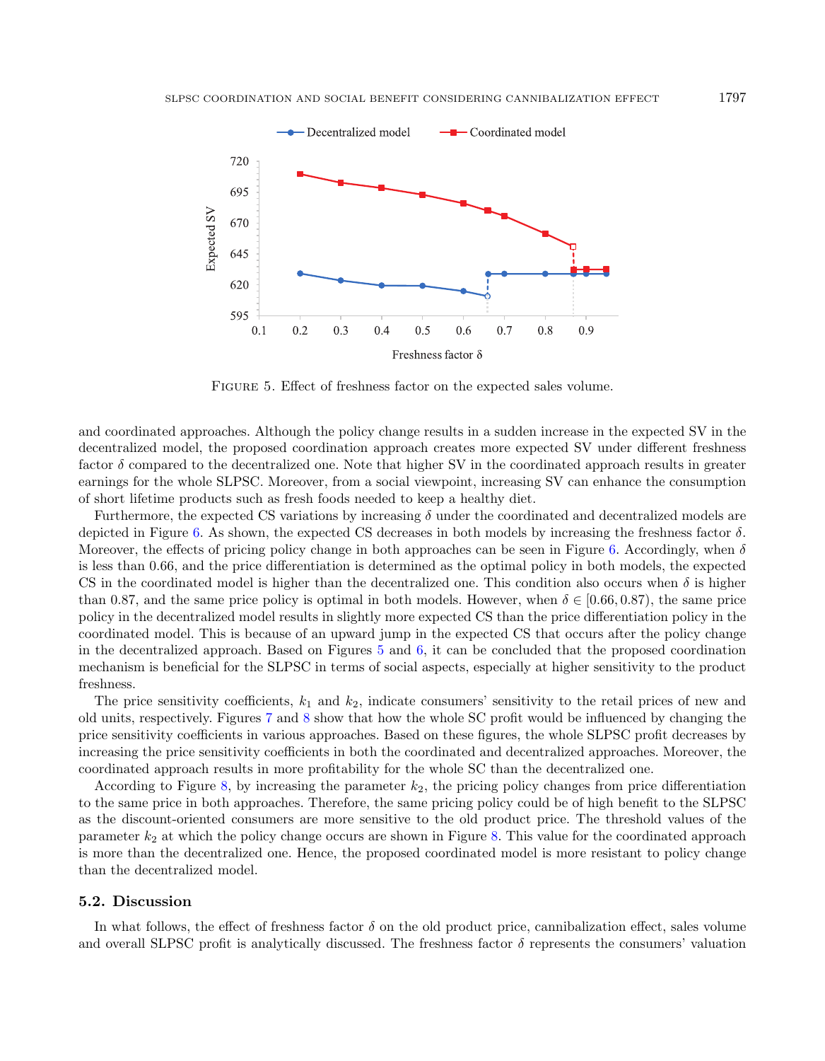<span id="page-16-0"></span>

Figure 5. Effect of freshness factor on the expected sales volume.

and coordinated approaches. Although the policy change results in a sudden increase in the expected SV in the decentralized model, the proposed coordination approach creates more expected SV under different freshness factor  $\delta$  compared to the decentralized one. Note that higher SV in the coordinated approach results in greater earnings for the whole SLPSC. Moreover, from a social viewpoint, increasing SV can enhance the consumption of short lifetime products such as fresh foods needed to keep a healthy diet.

Furthermore, the expected CS variations by increasing  $\delta$  under the coordinated and decentralized models are depicted in Figure [6.](#page-17-0) As shown, the expected CS decreases in both models by increasing the freshness factor  $\delta$ . Moreover, the effects of pricing policy change in both approaches can be seen in Figure [6.](#page-17-0) Accordingly, when  $\delta$ is less than 0.66, and the price differentiation is determined as the optimal policy in both models, the expected CS in the coordinated model is higher than the decentralized one. This condition also occurs when  $\delta$  is higher than 0.87, and the same price policy is optimal in both models. However, when  $\delta \in [0.66, 0.87)$ , the same price policy in the decentralized model results in slightly more expected CS than the price differentiation policy in the coordinated model. This is because of an upward jump in the expected CS that occurs after the policy change in the decentralized approach. Based on Figures [5](#page-16-0) and [6,](#page-17-0) it can be concluded that the proposed coordination mechanism is beneficial for the SLPSC in terms of social aspects, especially at higher sensitivity to the product freshness.

The price sensitivity coefficients,  $k_1$  and  $k_2$ , indicate consumers' sensitivity to the retail prices of new and old units, respectively. Figures [7](#page-17-1) and [8](#page-18-0) show that how the whole SC profit would be influenced by changing the price sensitivity coefficients in various approaches. Based on these figures, the whole SLPSC profit decreases by increasing the price sensitivity coefficients in both the coordinated and decentralized approaches. Moreover, the coordinated approach results in more profitability for the whole SC than the decentralized one.

According to Figure [8,](#page-18-0) by increasing the parameter  $k_2$ , the pricing policy changes from price differentiation to the same price in both approaches. Therefore, the same pricing policy could be of high benefit to the SLPSC as the discount-oriented consumers are more sensitive to the old product price. The threshold values of the parameter  $k_2$  at which the policy change occurs are shown in Figure [8.](#page-18-0) This value for the coordinated approach is more than the decentralized one. Hence, the proposed coordinated model is more resistant to policy change than the decentralized model.

#### 5.2. Discussion

In what follows, the effect of freshness factor  $\delta$  on the old product price, cannibalization effect, sales volume and overall SLPSC profit is analytically discussed. The freshness factor  $\delta$  represents the consumers' valuation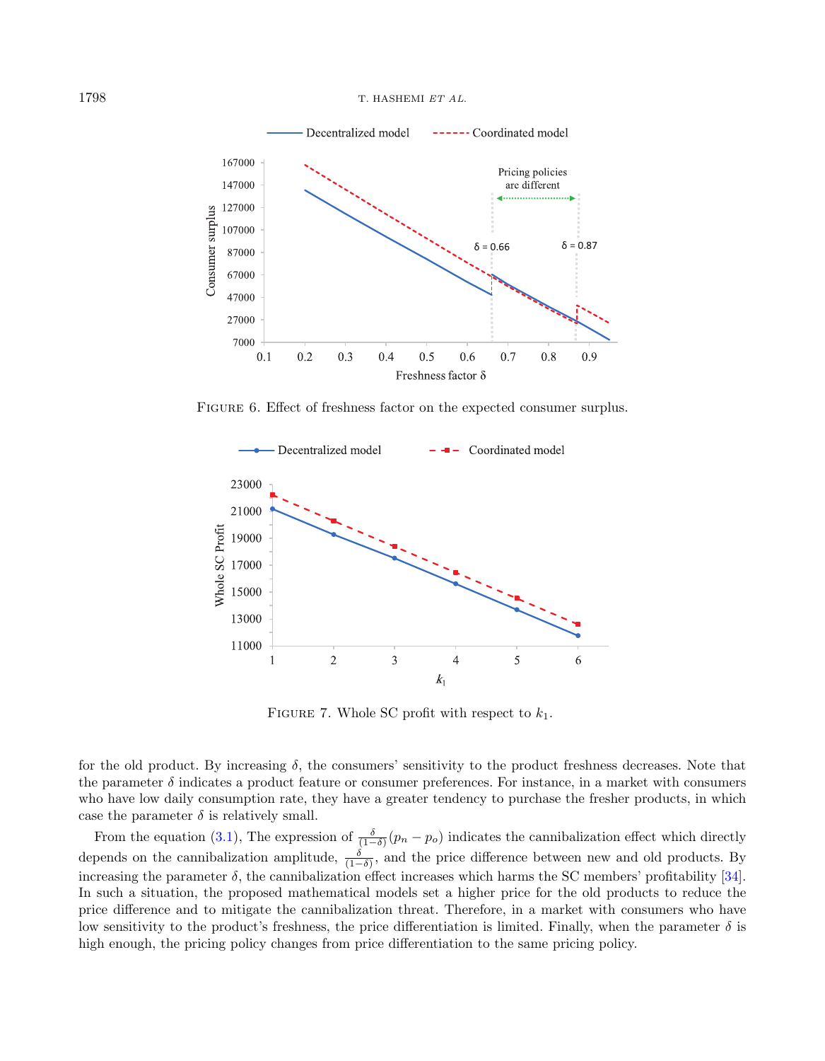1798 T. HASHEMI ET AL.

<span id="page-17-0"></span>

FIGURE 6. Effect of freshness factor on the expected consumer surplus.

<span id="page-17-1"></span>

FIGURE 7. Whole SC profit with respect to  $k_1$ .

for the old product. By increasing  $\delta$ , the consumers' sensitivity to the product freshness decreases. Note that the parameter  $\delta$  indicates a product feature or consumer preferences. For instance, in a market with consumers who have low daily consumption rate, they have a greater tendency to purchase the fresher products, in which case the parameter  $\delta$  is relatively small.

From the equation [\(3.1\)](#page-4-1), The expression of  $\frac{\delta}{(1-\delta)}(p_n - p_o)$  indicates the cannibalization effect which directly depends on the cannibalization amplitude,  $\frac{\delta}{(1-\delta)}$ , and the price difference between new and old products. By increasing the parameter  $\delta$ , the cannibalization effect increases which harms the SC members' profitability [\[34\]](#page-23-23). In such a situation, the proposed mathematical models set a higher price for the old products to reduce the price difference and to mitigate the cannibalization threat. Therefore, in a market with consumers who have low sensitivity to the product's freshness, the price differentiation is limited. Finally, when the parameter  $\delta$  is high enough, the pricing policy changes from price differentiation to the same pricing policy.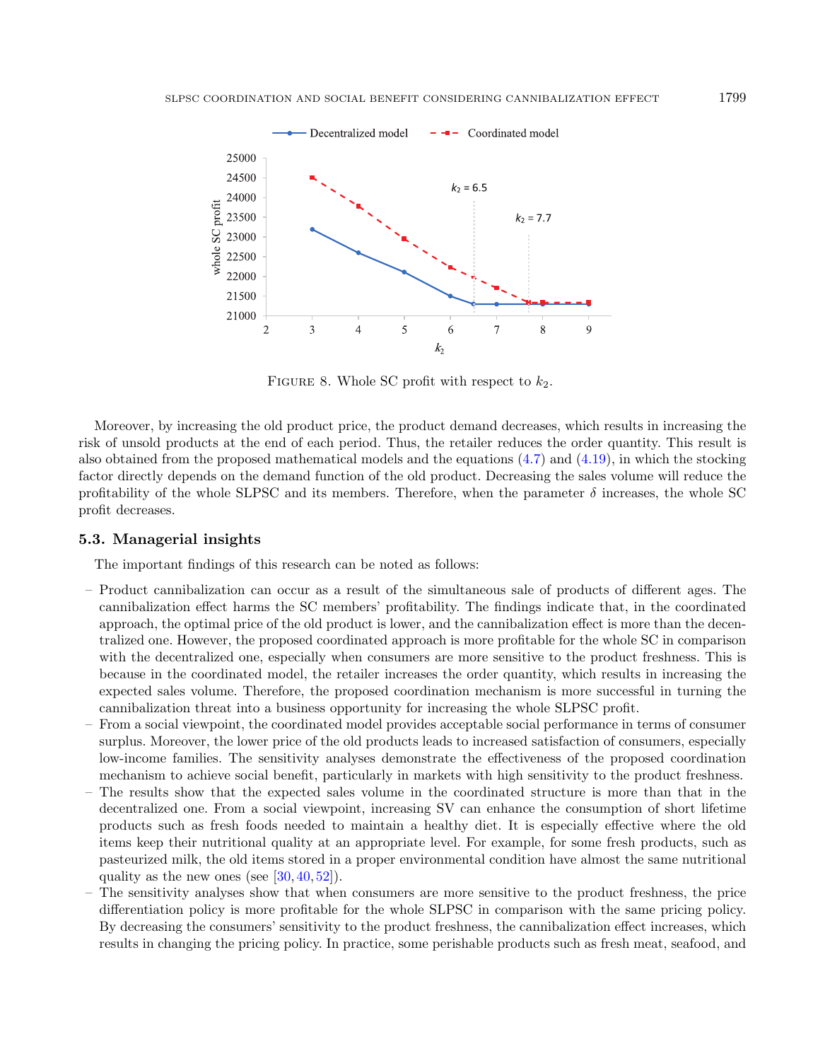<span id="page-18-0"></span>

FIGURE 8. Whole SC profit with respect to  $k_2$ .

Moreover, by increasing the old product price, the product demand decreases, which results in increasing the risk of unsold products at the end of each period. Thus, the retailer reduces the order quantity. This result is also obtained from the proposed mathematical models and the equations [\(4.7\)](#page-8-3) and [\(4.19\)](#page-10-0), in which the stocking factor directly depends on the demand function of the old product. Decreasing the sales volume will reduce the profitability of the whole SLPSC and its members. Therefore, when the parameter  $\delta$  increases, the whole SC profit decreases.

#### 5.3. Managerial insights

The important findings of this research can be noted as follows:

- Product cannibalization can occur as a result of the simultaneous sale of products of different ages. The cannibalization effect harms the SC members' profitability. The findings indicate that, in the coordinated approach, the optimal price of the old product is lower, and the cannibalization effect is more than the decentralized one. However, the proposed coordinated approach is more profitable for the whole SC in comparison with the decentralized one, especially when consumers are more sensitive to the product freshness. This is because in the coordinated model, the retailer increases the order quantity, which results in increasing the expected sales volume. Therefore, the proposed coordination mechanism is more successful in turning the cannibalization threat into a business opportunity for increasing the whole SLPSC profit.
- From a social viewpoint, the coordinated model provides acceptable social performance in terms of consumer surplus. Moreover, the lower price of the old products leads to increased satisfaction of consumers, especially low-income families. The sensitivity analyses demonstrate the effectiveness of the proposed coordination mechanism to achieve social benefit, particularly in markets with high sensitivity to the product freshness.
- The results show that the expected sales volume in the coordinated structure is more than that in the decentralized one. From a social viewpoint, increasing SV can enhance the consumption of short lifetime products such as fresh foods needed to maintain a healthy diet. It is especially effective where the old items keep their nutritional quality at an appropriate level. For example, for some fresh products, such as pasteurized milk, the old items stored in a proper environmental condition have almost the same nutritional quality as the new ones (see  $[30, 40, 52]$  $[30, 40, 52]$  $[30, 40, 52]$  $[30, 40, 52]$  $[30, 40, 52]$ ).
- The sensitivity analyses show that when consumers are more sensitive to the product freshness, the price differentiation policy is more profitable for the whole SLPSC in comparison with the same pricing policy. By decreasing the consumers' sensitivity to the product freshness, the cannibalization effect increases, which results in changing the pricing policy. In practice, some perishable products such as fresh meat, seafood, and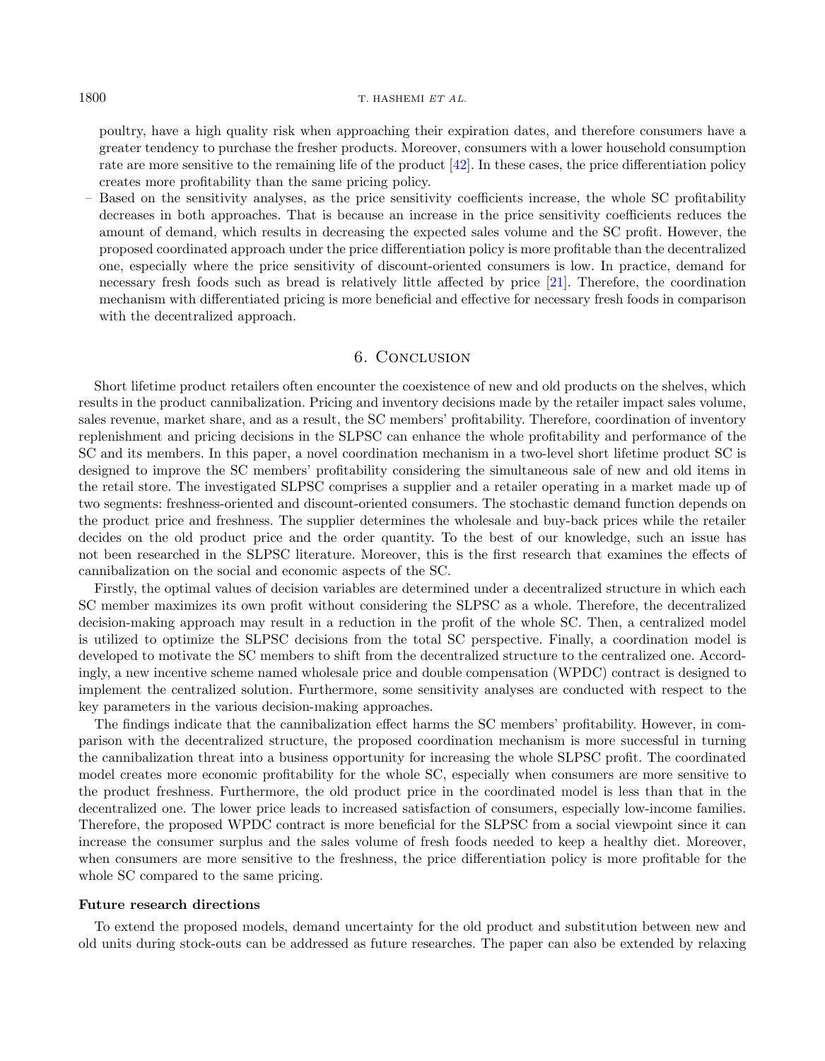poultry, have a high quality risk when approaching their expiration dates, and therefore consumers have a greater tendency to purchase the fresher products. Moreover, consumers with a lower household consumption rate are more sensitive to the remaining life of the product [\[42\]](#page-24-18). In these cases, the price differentiation policy creates more profitability than the same pricing policy.

– Based on the sensitivity analyses, as the price sensitivity coefficients increase, the whole SC profitability decreases in both approaches. That is because an increase in the price sensitivity coefficients reduces the amount of demand, which results in decreasing the expected sales volume and the SC profit. However, the proposed coordinated approach under the price differentiation policy is more profitable than the decentralized one, especially where the price sensitivity of discount-oriented consumers is low. In practice, demand for necessary fresh foods such as bread is relatively little affected by price [\[21\]](#page-23-32). Therefore, the coordination mechanism with differentiated pricing is more beneficial and effective for necessary fresh foods in comparison with the decentralized approach.

#### 6. Conclusion

<span id="page-19-0"></span>Short lifetime product retailers often encounter the coexistence of new and old products on the shelves, which results in the product cannibalization. Pricing and inventory decisions made by the retailer impact sales volume, sales revenue, market share, and as a result, the SC members' profitability. Therefore, coordination of inventory replenishment and pricing decisions in the SLPSC can enhance the whole profitability and performance of the SC and its members. In this paper, a novel coordination mechanism in a two-level short lifetime product SC is designed to improve the SC members' profitability considering the simultaneous sale of new and old items in the retail store. The investigated SLPSC comprises a supplier and a retailer operating in a market made up of two segments: freshness-oriented and discount-oriented consumers. The stochastic demand function depends on the product price and freshness. The supplier determines the wholesale and buy-back prices while the retailer decides on the old product price and the order quantity. To the best of our knowledge, such an issue has not been researched in the SLPSC literature. Moreover, this is the first research that examines the effects of cannibalization on the social and economic aspects of the SC.

Firstly, the optimal values of decision variables are determined under a decentralized structure in which each SC member maximizes its own profit without considering the SLPSC as a whole. Therefore, the decentralized decision-making approach may result in a reduction in the profit of the whole SC. Then, a centralized model is utilized to optimize the SLPSC decisions from the total SC perspective. Finally, a coordination model is developed to motivate the SC members to shift from the decentralized structure to the centralized one. Accordingly, a new incentive scheme named wholesale price and double compensation (WPDC) contract is designed to implement the centralized solution. Furthermore, some sensitivity analyses are conducted with respect to the key parameters in the various decision-making approaches.

The findings indicate that the cannibalization effect harms the SC members' profitability. However, in comparison with the decentralized structure, the proposed coordination mechanism is more successful in turning the cannibalization threat into a business opportunity for increasing the whole SLPSC profit. The coordinated model creates more economic profitability for the whole SC, especially when consumers are more sensitive to the product freshness. Furthermore, the old product price in the coordinated model is less than that in the decentralized one. The lower price leads to increased satisfaction of consumers, especially low-income families. Therefore, the proposed WPDC contract is more beneficial for the SLPSC from a social viewpoint since it can increase the consumer surplus and the sales volume of fresh foods needed to keep a healthy diet. Moreover, when consumers are more sensitive to the freshness, the price differentiation policy is more profitable for the whole SC compared to the same pricing.

#### Future research directions

To extend the proposed models, demand uncertainty for the old product and substitution between new and old units during stock-outs can be addressed as future researches. The paper can also be extended by relaxing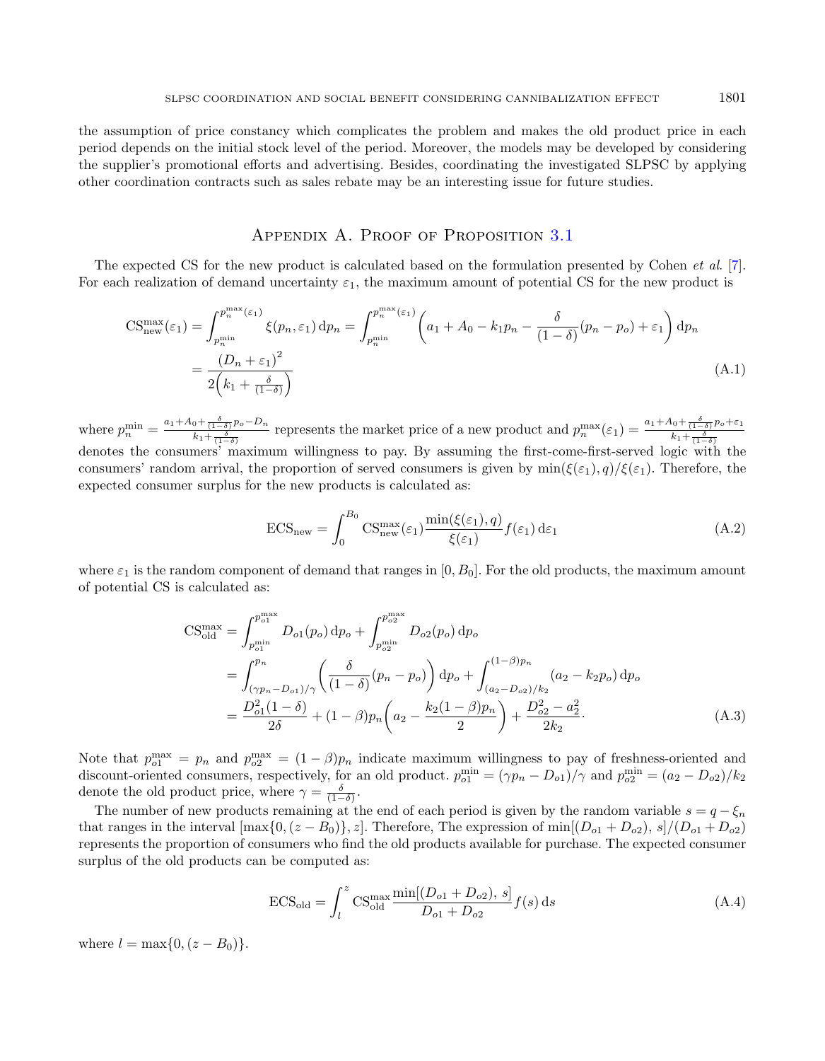the assumption of price constancy which complicates the problem and makes the old product price in each period depends on the initial stock level of the period. Moreover, the models may be developed by considering the supplier's promotional efforts and advertising. Besides, coordinating the investigated SLPSC by applying other coordination contracts such as sales rebate may be an interesting issue for future studies.

# APPENDIX A. PROOF OF PROPOSITION [3.1](#page-6-0)

<span id="page-20-0"></span>The expected CS for the new product is calculated based on the formulation presented by Cohen et al. [\[7\]](#page-23-28). For each realization of demand uncertainty  $\varepsilon_1$ , the maximum amount of potential CS for the new product is

$$
CS_{\text{new}}^{\text{max}}(\varepsilon_1) = \int_{p_n^{\text{min}}}^{p_n^{\text{max}}(\varepsilon_1)} \xi(p_n, \varepsilon_1) dp_n = \int_{p_n^{\text{min}}}^{p_n^{\text{max}}(\varepsilon_1)} \left( a_1 + A_0 - k_1 p_n - \frac{\delta}{(1 - \delta)} (p_n - p_o) + \varepsilon_1 \right) dp_n
$$
  
= 
$$
\frac{(D_n + \varepsilon_1)^2}{2 \left( k_1 + \frac{\delta}{(1 - \delta)} \right)}
$$
(A.1)

where  $p_n^{\min} = \frac{a_1 + A_0 + \frac{\delta}{(1-\delta)}p_o - D_n}{k_1 + \frac{\delta}{(1-\delta)^2}}$  $\frac{1}{k_1 + \frac{\delta}{(1-\delta)}p_o - D_n}$  represents the market price of a new product and  $p_n^{\max}(\varepsilon_1) = \frac{a_1 + A_0 + \frac{\delta}{(1-\delta)}p_o + \varepsilon_1}{k_1 + \frac{\delta}{(1-\delta)}}$ where  $p_n = \frac{k_1 + \frac{\delta}{(1-\delta)}}{k_1 + \frac{\delta}{(1-\delta)}}$  represents the market price of a new product and  $p_n$  ( $\epsilon_1$ ) =  $k_1 + \frac{\delta}{(1-\delta)}$ <br>denotes the consumers' maximum willingness to pay. By assuming the first-come-first-served logic consumers' random arrival, the proportion of served consumers is given by  $\min(\xi(\varepsilon_1), q)/\xi(\varepsilon_1)$ . Therefore, the expected consumer surplus for the new products is calculated as:

$$
ECS_{\text{new}} = \int_0^{B_0} \text{CS}_{\text{new}}^{\text{max}}(\varepsilon_1) \frac{\min(\xi(\varepsilon_1), q)}{\xi(\varepsilon_1)} f(\varepsilon_1) d\varepsilon_1 \tag{A.2}
$$

where  $\varepsilon_1$  is the random component of demand that ranges in  $[0, B_0]$ . For the old products, the maximum amount of potential CS is calculated as:

$$
CS_{old}^{max} = \int_{p_{o1}^{min}}^{p_{o1}^{max}} D_{o1}(p_o) dp_o + \int_{p_{o2}^{min}}^{p_{o2}^{max}} D_{o2}(p_o) dp_o
$$
  
= 
$$
\int_{(\gamma p_n - D_{o1})/\gamma}^{p_n} \left( \frac{\delta}{(1 - \delta)} (p_n - p_o) \right) dp_o + \int_{(a_2 - D_{o2})/k_2}^{(1 - \beta)p_n} (a_2 - k_2 p_o) dp_o
$$
  
= 
$$
\frac{D_{o1}^2 (1 - \delta)}{2\delta} + (1 - \beta) p_n \left( a_2 - \frac{k_2 (1 - \beta) p_n}{2} \right) + \frac{D_{o2}^2 - a_2^2}{2k_2}.
$$
 (A.3)

Note that  $p_{o1}^{\max} = p_n$  and  $p_{o2}^{\max} = (1 - \beta)p_n$  indicate maximum willingness to pay of freshness-oriented and discount-oriented consumers, respectively, for an old product.  $p_{o1}^{\min} = (\gamma p_n - D_{o1})/\gamma$  and  $p_{o2}^{\min} = (a_2 - D_{o2})/k_2$ denote the old product price, where  $\gamma = \frac{\delta}{(1-\delta)}$ .

The number of new products remaining at the end of each period is given by the random variable  $s = q - \xi_n$ that ranges in the interval  $[\max\{0, (z - B_0)\}, z]$ . Therefore, The expression of  $\min[(D_{o1} + D_{o2}), s]/(D_{o1} + D_{o2})$ represents the proportion of consumers who find the old products available for purchase. The expected consumer surplus of the old products can be computed as:

$$
ECS_{\text{old}} = \int_{l}^{z} \text{CS}_{\text{old}}^{\text{max}} \frac{\min[(D_{o1} + D_{o2}), s]}{D_{o1} + D_{o2}} f(s) \,ds \tag{A.4}
$$

where  $l = \max\{0, (z - B_0)\}.$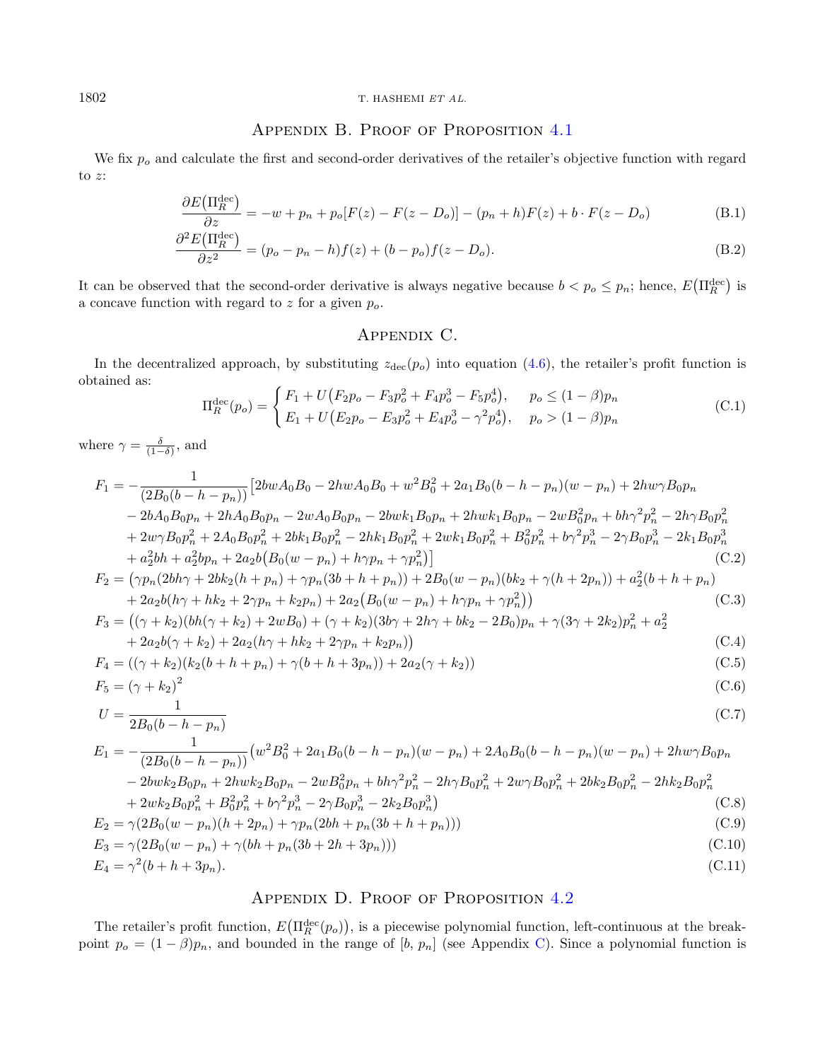# APPENDIX B. PROOF OF PROPOSITION [4.1](#page-8-6)

We fix  $p<sub>o</sub>$  and calculate the first and second-order derivatives of the retailer's objective function with regard to  $z$ :

$$
\frac{\partial E\left(\Pi_R^{\text{dec}}\right)}{\partial z} = -w + p_n + p_o[F(z) - F(z - D_o)] - (p_n + h)F(z) + b \cdot F(z - D_o) \tag{B.1}
$$

$$
\frac{\partial^2 E(\Pi_R^{\text{dec}})}{\partial z^2} = (p_o - p_n - h)f(z) + (b - p_o)f(z - D_o). \tag{B.2}
$$

It can be observed that the second-order derivative is always negative because  $b < p_o \le p_n$ ; hence,  $E(\Pi_R^{\text{dec}})$  is a concave function with regard to  $z$  for a given  $p_o$ .

# Appendix C.

<span id="page-21-1"></span>In the decentralized approach, by substituting  $z_{\text{dec}}(p_o)$  into equation [\(4.6\)](#page-8-2), the retailer's profit function is obtained as:

$$
\Pi_R^{\text{dec}}(p_o) = \begin{cases} F_1 + U(F_2 p_o - F_3 p_o^2 + F_4 p_o^3 - F_5 p_o^4), & p_o \le (1 - \beta) p_n \\ E_1 + U(F_2 p_o - E_3 p_o^2 + E_4 p_o^3 - \gamma^2 p_o^4), & p_o > (1 - \beta) p_n \end{cases}
$$
(C.1)

where  $\gamma = \frac{\delta}{(1-\delta)}$ , and

$$
F_1 = -\frac{1}{(2B_0(b - h - p_n))} \left[ 2bwA_0B_0 - 2hwA_0B_0 + w^2B_0^2 + 2a_1B_0(b - h - p_n)(w - p_n) + 2hw\gamma B_0p_n \right. \\ \left. - 2bA_0B_0p_n + 2hA_0B_0p_n - 2wA_0B_0p_n - 2bwk_1B_0p_n + 2hwk_1B_0p_n - 2wB_0^2p_n + bh\gamma^2p_n^2 - 2h\gamma B_0p_n^2 \right. \\ \left. + 2w\gamma B_0p_n^2 + 2A_0B_0p_n^2 + 2bk_1B_0p_n^2 - 2hk_1B_0p_n^2 + 2wk_1B_0p_n^2 + B_0^2p_n^2 + b\gamma^2p_n^3 - 2\gamma B_0p_n^3 - 2k_1B_0p_n^3 \right. \\ \left. + a_2^2bh + a_2^2bp_n + 2a_2b\left(B_0(w - p_n) + h\gamma p_n + \gamma p_n^2\right) \right] \tag{C.2}
$$

$$
F_2 = (\gamma p_n (2bh\gamma + 2bk_2(h + p_n) + \gamma p_n (3b + h + p_n)) + 2B_0(w - p_n)(bk_2 + \gamma(h + 2p_n)) + a_2^2(b + h + p_n) + 2a_2b(h\gamma + hk_2 + 2\gamma p_n + k_2p_n) + 2a_2(B_0(w - p_n) + h\gamma p_n + \gamma p_n^2))
$$
(C.3)

$$
F_3 = ((\gamma + k_2)(bh(\gamma + k_2) + 2wB_0) + (\gamma + k_2)(3b\gamma + 2h\gamma + bk_2 - 2B_0)p_n + \gamma(3\gamma + 2k_2)p_n^2 + a_2^2 + 2a_2b(\gamma + k_2) + 2a_2(h\gamma + hk_2 + 2\gamma p_n + k_2p_n))
$$
(C.4)

$$
F_4 = ((\gamma + k_2)(k_2(b + h + p_n) + \gamma(b + h + 3p_n)) + 2a_2(\gamma + k_2))
$$
\n(C.5)

$$
F_5 = \left(\gamma + k_2\right)^2\tag{C.6}
$$

$$
U = \frac{1}{2B_0(b - h - p_n)}
$$
(C.7)

$$
E_1 = -\frac{1}{(2B_0(b - h - p_n))}(w^2B_0^2 + 2a_1B_0(b - h - p_n)(w - p_n) + 2A_0B_0(b - h - p_n)(w - p_n) + 2hw\gamma B_0p_n
$$
  
\n
$$
- 2bwk_2B_0p_n + 2hwk_2B_0p_n - 2wB_0^2p_n + bh\gamma^2p_n^2 - 2h\gamma B_0p_n^2 + 2w\gamma B_0p_n^2 + 2bk_2B_0p_n^2 - 2hk_2B_0p_n^2
$$
  
\n
$$
+ 2wk_2B_0p_n^2 + B_0^2p_n^2 + b\gamma^2p_n^2 - 2\gamma B_0p_n^2 - 2k_2B_0p_n^2)
$$
  
\n
$$
E_2 = \gamma(2B_0(w - p_n)(h + 2p_n) + \gamma p_n(2bh + p_n(3b + h + p_n)))
$$
  
\n(C.9)

$$
E_3 = \gamma(2B_0(w - p_n) + \gamma(bh + p_n(3b + 2h + 3p_n)))
$$
\n(C.10)  
\n
$$
E_4 = \gamma^2(b + h + 3p_n).
$$
\n(C.11)

# APPENDIX D. PROOF OF PROPOSITION [4.2](#page-8-4)

<span id="page-21-2"></span>The retailer's profit function,  $E(\Pi_R^{\text{dec}}(p_o))$ , is a piecewise polynomial function, left-continuous at the breakpoint  $p_o = (1 - \beta)p_n$ , and bounded in the range of  $[b, p_n]$  (see Appendix [C\)](#page-21-1). Since a polynomial function is

<span id="page-21-0"></span>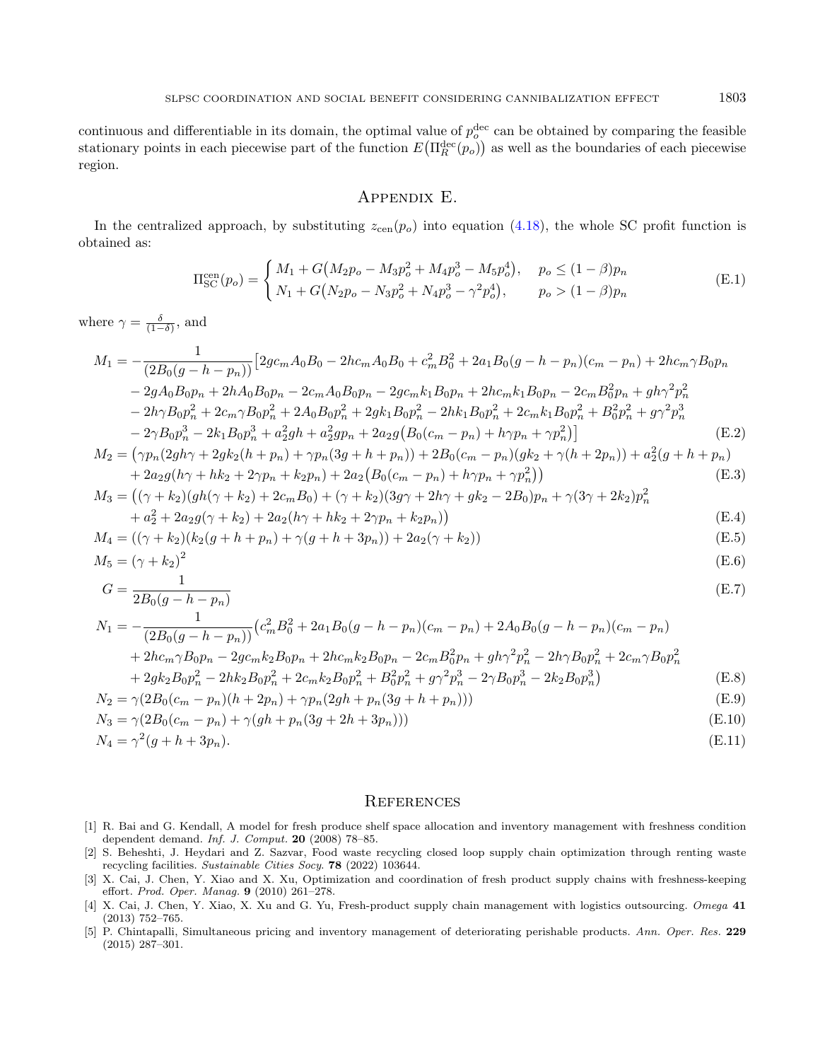continuous and differentiable in its domain, the optimal value of  $p_o^{\text{dec}}$  can be obtained by comparing the feasible stationary points in each piecewise part of the function  $E(\Pi_R^{\text{dec}}(p_o))$  as well as the boundaries of each piecewise region.

# Appendix E.

<span id="page-22-5"></span>In the centralized approach, by substituting  $z_{\rm cen}(p_o)$  into equation [\(4.18\)](#page-10-1), the whole SC profit function is obtained as:

$$
\Pi_{\rm SC}^{\rm cen}(p_o) = \begin{cases} M_1 + G(M_2p_o - M_3p_o^2 + M_4p_o^3 - M_5p_o^4), & p_o \le (1 - \beta)p_n \\ N_1 + G(N_2p_o - N_3p_o^2 + N_4p_o^3 - \gamma^2p_o^4), & p_o > (1 - \beta)p_n \end{cases}
$$
(E.1)

where  $\gamma = \frac{\delta}{(1-\delta)}$ , and

$$
M_{1} = -\frac{1}{(2B_{0}(g - h - p_{n}))} \left[ 2g c_{m} A_{0} B_{0} - 2h c_{m} A_{0} B_{0} + c_{m}^{2} B_{0}^{2} + 2a_{1} B_{0} (g - h - p_{n}) (c_{m} - p_{n}) + 2h c_{m} \gamma B_{0} p_{n} \right]
$$
  
- 2g A\_{0} B\_{0} p\_{n} + 2h A\_{0} B\_{0} p\_{n} - 2c\_{m} A\_{0} B\_{0} p\_{n} - 2g c\_{m} k\_{1} B\_{0} p\_{n} + 2h c\_{m} k\_{1} B\_{0} p\_{n} - 2c\_{m} B\_{0}^{2} p\_{n} + g h \gamma^{2} p\_{n}^{2}  
- 2h \gamma B\_{0} p\_{n}^{2} + 2c\_{m} \gamma B\_{0} p\_{n}^{2} + 2A\_{0} B\_{0} p\_{n}^{2} + 2g k\_{1} B\_{0} p\_{n}^{2} - 2h k\_{1} B\_{0} p\_{n}^{2} + 2c\_{m} k\_{1} B\_{0} p\_{n}^{2} + B\_{0}^{2} p\_{n}^{2} + g \gamma^{2} p\_{n}^{3}  
- 2\gamma B\_{0} p\_{n}^{3} - 2k\_{1} B\_{0} p\_{n}^{3} + a\_{2}^{2} g h + a\_{2}^{2} g p\_{n} + 2a\_{2} g (B\_{0} (c\_{m} - p\_{n}) + h \gamma p\_{n} + \gamma p\_{n}^{2}) \right] (E.2)  
\n
$$
M_{2} = (\gamma p_{n} (2g h \gamma + 2g k_{2} (h + p_{n}) + \gamma p_{n} (3g + h + p_{n})) + 2B_{0} (c_{m} - p_{n}) (g k_{2} + \gamma (h + 2p_{n})) + a_{2}^{2} (g + h + p_{n})
$$

$$
-(\gamma p_n(2y\mu_1 + 2y\mu_2)(\mu + p_n) + \gamma p_n(3y + \mu + p_n)) + 2D_0(c_m - p_n)(y\mu_2 + \gamma(\mu + 2p_n)) + a_2(y + \mu + p_n) + 2a_2g(h\gamma + hk_2 + 2\gamma p_n + k_2p_n) + 2a_2(B_0(c_m - p_n) + h\gamma p_n + \gamma p_n^2))
$$
(E.3)

$$
M_3 = ((\gamma + k_2)(gh(\gamma + k_2) + 2c_m B_0) + (\gamma + k_2)(3g\gamma + 2h\gamma + gk_2 - 2B_0)p_n + \gamma(3\gamma + 2k_2)p_n^2
$$
  
+  $a_2^2 + 2a_2g(\gamma + k_2) + 2a_2(h\gamma + hk_2 + 2\gamma p_n + k_2p_n)$  (E.4)

$$
M_4 = ((\gamma + k_2)(k_2(g + h + p_n) + \gamma(g + h + 3p_n)) + 2a_2(\gamma + k_2))
$$
(E.5)

$$
M_5 = (\gamma + k_2)^2 \tag{E.6}
$$

$$
G = \frac{1}{2B_0(g - h - p_n)}\tag{E.7}
$$

<span id="page-22-4"></span><span id="page-22-0"></span>
$$
N_1 = -\frac{1}{(2B_0(g - h - p_n))} \left(c_m^2 B_0^2 + 2a_1 B_0(g - h - p_n)(c_m - p_n) + 2A_0 B_0(g - h - p_n)(c_m - p_n)\right)
$$
  
+  $2hc_m \gamma B_0 p_n - 2gc_m k_2 B_0 p_n + 2hc_m k_2 B_0 p_n - 2c_m B_0^2 p_n + gh \gamma^2 p_n^2 - 2h \gamma B_0 p_n^2 + 2c_m \gamma B_0 p_n^2$   
+  $2g k_2 B_0 p_n^2 - 2hk_2 B_0 p_n^2 + 2c_m k_2 B_0 p_n^2 + B_0^2 p_n^2 + g \gamma^2 p_n^3 - 2\gamma B_0 p_n^3 - 2k_2 B_0 p_n^3)$  (E.8)

<span id="page-22-3"></span><span id="page-22-2"></span>
$$
N_2 = \gamma (2B_0(c_m - p_n)(h + 2p_n) + \gamma p_n (2gh + p_n (3g + h + p_n)))
$$
\n(E.9)

$$
N_3 = \gamma (2B_0(c_m - p_n) + \gamma (gh + p_n(3g + 2h + 3p_n)))
$$
\n(E.10)

<span id="page-22-1"></span>
$$
N_4 = \gamma^2(g + h + 3p_n). \tag{E.11}
$$

#### **REFERENCES**

- [1] R. Bai and G. Kendall, A model for fresh produce shelf space allocation and inventory management with freshness condition dependent demand. Inf. J. Comput. 20 (2008) 78–85.
- [2] S. Beheshti, J. Heydari and Z. Sazvar, Food waste recycling closed loop supply chain optimization through renting waste recycling facilities. Sustainable Cities Socy. 78 (2022) 103644.
- [3] X. Cai, J. Chen, Y. Xiao and X. Xu, Optimization and coordination of fresh product supply chains with freshness-keeping effort. Prod. Oper. Manag. 9 (2010) 261–278.
- [4] X. Cai, J. Chen, Y. Xiao, X. Xu and G. Yu, Fresh-product supply chain management with logistics outsourcing. Omega 41 (2013) 752–765.
- [5] P. Chintapalli, Simultaneous pricing and inventory management of deteriorating perishable products. Ann. Oper. Res. 229 (2015) 287–301.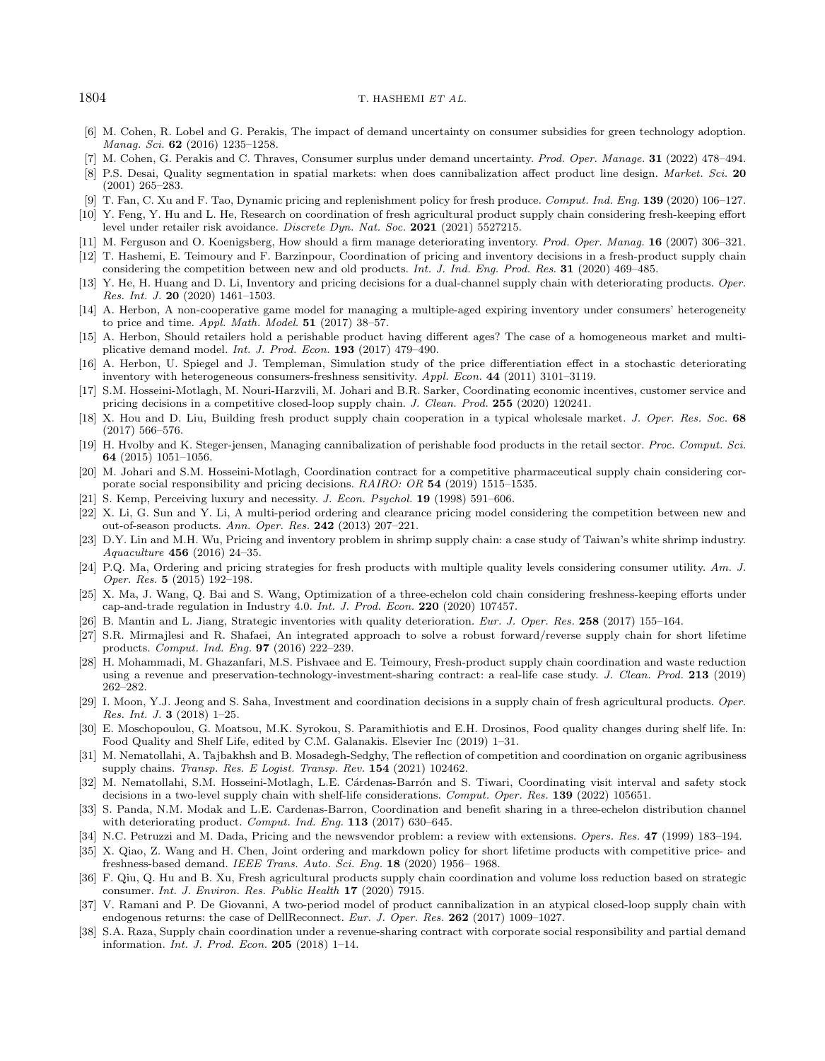- <span id="page-23-14"></span>[6] M. Cohen, R. Lobel and G. Perakis, The impact of demand uncertainty on consumer subsidies for green technology adoption. Manag. Sci. 62 (2016) 1235–1258.
- [7] M. Cohen, G. Perakis and C. Thraves, Consumer surplus under demand uncertainty. Prod. Oper. Manage. 31 (2022) 478–494.
- <span id="page-23-9"></span>[8] P.S. Desai, Quality segmentation in spatial markets: when does cannibalization affect product line design. Market. Sci. 20 (2001) 265–283.
- <span id="page-23-7"></span>[9] T. Fan, C. Xu and F. Tao, Dynamic pricing and replenishment policy for fresh produce. Comput. Ind. Eng. 139 (2020) 106–127.
- <span id="page-23-4"></span>[10] Y. Feng, Y. Hu and L. He, Research on coordination of fresh agricultural product supply chain considering fresh-keeping effort level under retailer risk avoidance. Discrete Dyn. Nat. Soc. 2021 (2021) 5527215.
- <span id="page-23-1"></span>[11] M. Ferguson and O. Koenigsberg, How should a firm manage deteriorating inventory. Prod. Oper. Manag. 16 (2007) 306–321.
- [12] T. Hashemi, E. Teimoury and F. Barzinpour, Coordination of pricing and inventory decisions in a fresh-product supply chain considering the competition between new and old products. Int. J. Ind. Eng. Prod. Res. 31 (2020) 469–485.
- <span id="page-23-30"></span>[13] Y. He, H. Huang and D. Li, Inventory and pricing decisions for a dual-channel supply chain with deteriorating products. Oper. Res. Int. J. 20 (2020) 1461–1503.
- <span id="page-23-32"></span><span id="page-23-10"></span>[14] A. Herbon, A non-cooperative game model for managing a multiple-aged expiring inventory under consumers' heterogeneity to price and time. Appl. Math. Model. 51 (2017) 38–57.
- <span id="page-23-22"></span>[15] A. Herbon, Should retailers hold a perishable product having different ages? The case of a homogeneous market and multiplicative demand model. Int. J. Prod. Econ. 193 (2017) 479–490.
- <span id="page-23-15"></span>[16] A. Herbon, U. Spiegel and J. Templeman, Simulation study of the price differentiation effect in a stochastic deteriorating inventory with heterogeneous consumers-freshness sensitivity. Appl. Econ. 44 (2011) 3101–3119.
- <span id="page-23-18"></span>[17] S.M. Hosseini-Motlagh, M. Nouri-Harzvili, M. Johari and B.R. Sarker, Coordinating economic incentives, customer service and pricing decisions in a competitive closed-loop supply chain. J. Clean. Prod. 255 (2020) 120241.
- <span id="page-23-26"></span>[18] X. Hou and D. Liu, Building fresh product supply chain cooperation in a typical wholesale market. J. Oper. Res. Soc. 68 (2017) 566–576.
- <span id="page-23-0"></span>[19] H. Hvolby and K. Steger-jensen, Managing cannibalization of perishable food products in the retail sector. Proc. Comput. Sci. 64 (2015) 1051–1056.
- <span id="page-23-6"></span>[20] M. Johari and S.M. Hosseini-Motlagh, Coordination contract for a competitive pharmaceutical supply chain considering corporate social responsibility and pricing decisions. RAIRO: OR 54 (2019) 1515–1535.
- <span id="page-23-5"></span>[21] S. Kemp, Perceiving luxury and necessity. J. Econ. Psychol. 19 (1998) 591–606.
- [22] X. Li, G. Sun and Y. Li, A multi-period ordering and clearance pricing model considering the competition between new and out-of-season products. Ann. Oper. Res. 242 (2013) 207–221.
- <span id="page-23-31"></span>[23] D.Y. Lin and M.H. Wu, Pricing and inventory problem in shrimp supply chain: a case study of Taiwan's white shrimp industry. Aquaculture 456 (2016) 24–35.
- <span id="page-23-20"></span>[24] P.Q. Ma, Ordering and pricing strategies for fresh products with multiple quality levels considering consumer utility. Am. J. Oper. Res. 5 (2015) 192–198.
- <span id="page-23-17"></span>[25] X. Ma, J. Wang, Q. Bai and S. Wang, Optimization of a three-echelon cold chain considering freshness-keeping efforts under cap-and-trade regulation in Industry 4.0. Int. J. Prod. Econ. 220 (2020) 107457.
- <span id="page-23-29"></span>[26] B. Mantin and L. Jiang, Strategic inventories with quality deterioration. Eur. J. Oper. Res. 258 (2017) 155–164.
- <span id="page-23-23"></span>[27] S.R. Mirmajlesi and R. Shafaei, An integrated approach to solve a robust forward/reverse supply chain for short lifetime products. Comput. Ind. Eng. 97 (2016) 222–239.
- <span id="page-23-19"></span><span id="page-23-12"></span>[28] H. Mohammadi, M. Ghazanfari, M.S. Pishvaee and E. Teimoury, Fresh-product supply chain coordination and waste reduction using a revenue and preservation-technology-investment-sharing contract: a real-life case study. J. Clean. Prod. 213 (2019) 262–282.
- <span id="page-23-25"></span>[29] I. Moon, Y.J. Jeong and S. Saha, Investment and coordination decisions in a supply chain of fresh agricultural products. Oper. Res. Int. J. 3 (2018) 1–25.
- <span id="page-23-24"></span>[30] E. Moschopoulou, G. Moatsou, M.K. Syrokou, S. Paramithiotis and E.H. Drosinos, Food quality changes during shelf life. In: Food Quality and Shelf Life, edited by C.M. Galanakis. Elsevier Inc (2019) 1–31.
- [31] M. Nematollahi, A. Tajbakhsh and B. Mosadegh-Sedghy, The reflection of competition and coordination on organic agribusiness supply chains. Transp. Res. E Logist. Transp. Rev. 154 (2021) 102462.
- [32] M. Nematollahi, S.M. Hosseini-Motlagh, L.E. Cárdenas-Barrón and S. Tiwari, Coordinating visit interval and safety stock decisions in a two-level supply chain with shelf-life considerations. Comput. Oper. Res. 139 (2022) 105651.
- [33] S. Panda, N.M. Modak and L.E. Cardenas-Barron, Coordination and benefit sharing in a three-echelon distribution channel with deteriorating product. Comput. Ind. Eng. 113 (2017) 630-645.
- [34] N.C. Petruzzi and M. Dada, Pricing and the newsvendor problem: a review with extensions. Opers. Res. 47 (1999) 183–194.
- [35] X. Qiao, Z. Wang and H. Chen, Joint ordering and markdown policy for short lifetime products with competitive price- and freshness-based demand. IEEE Trans. Auto. Sci. Eng. 18 (2020) 1956– 1968.
- [36] F. Qiu, Q. Hu and B. Xu, Fresh agricultural products supply chain coordination and volume loss reduction based on strategic consumer. Int. J. Environ. Res. Public Health 17 (2020) 7915.
- [37] V. Ramani and P. De Giovanni, A two-period model of product cannibalization in an atypical closed-loop supply chain with endogenous returns: the case of DellReconnect. Eur. J. Oper. Res. 262 (2017) 1009–1027.
- [38] S.A. Raza, Supply chain coordination under a revenue-sharing contract with corporate social responsibility and partial demand information. Int. J. Prod. Econ. 205 (2018) 1–14.

<span id="page-23-28"></span><span id="page-23-27"></span><span id="page-23-21"></span><span id="page-23-16"></span><span id="page-23-13"></span><span id="page-23-11"></span><span id="page-23-8"></span><span id="page-23-3"></span><span id="page-23-2"></span>